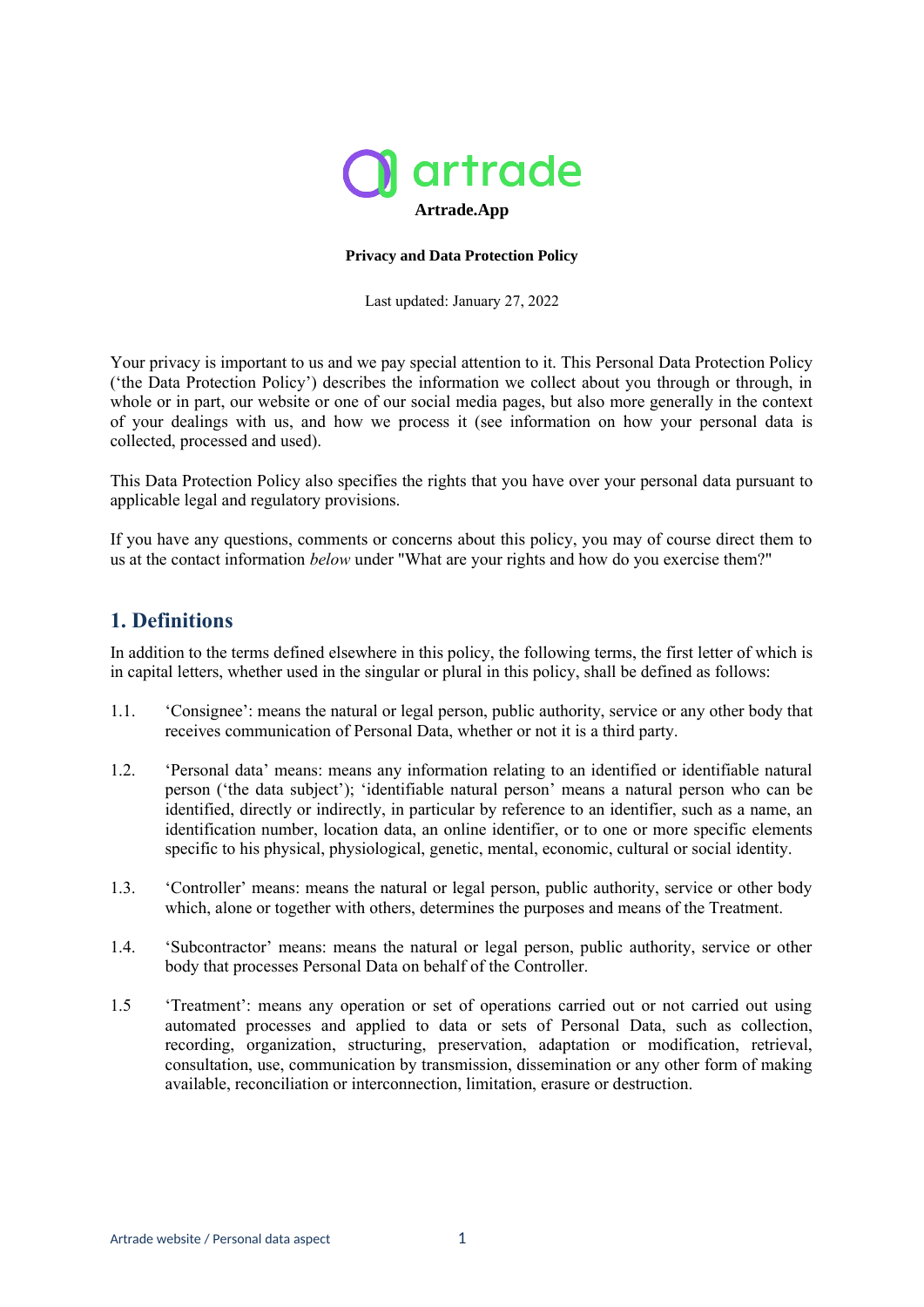

#### **Privacy and Data Protection Policy**

Last updated: January 27, 2022

Your privacy is important to us and we pay special attention to it. This Personal Data Protection Policy ('the Data Protection Policy') describes the information we collect about you through or through, in whole or in part, our website or one of our social media pages, but also more generally in the context of your dealings with us, and how we process it (see information on how your personal data is collected, processed and used).

This Data Protection Policy also specifies the rights that you have over your personal data pursuant to applicable legal and regulatory provisions.

If you have any questions, comments or concerns about this policy, you may of course direct them to us at the contact information *below* under "What are your rights and how do you exercise them?"

### **1. Definitions**

In addition to the terms defined elsewhere in this policy, the following terms, the first letter of which is in capital letters, whether used in the singular or plural in this policy, shall be defined as follows:

- 1.1. 'Consignee': means the natural or legal person, public authority, service or any other body that receives communication of Personal Data, whether or not it is a third party.
- 1.2. 'Personal data' means: means any information relating to an identified or identifiable natural person ('the data subject'); 'identifiable natural person' means a natural person who can be identified, directly or indirectly, in particular by reference to an identifier, such as a name, an identification number, location data, an online identifier, or to one or more specific elements specific to his physical, physiological, genetic, mental, economic, cultural or social identity.
- 1.3. 'Controller' means: means the natural or legal person, public authority, service or other body which, alone or together with others, determines the purposes and means of the Treatment.
- 1.4. 'Subcontractor' means: means the natural or legal person, public authority, service or other body that processes Personal Data on behalf of the Controller.
- 1.5 'Treatment': means any operation or set of operations carried out or not carried out using automated processes and applied to data or sets of Personal Data, such as collection, recording, organization, structuring, preservation, adaptation or modification, retrieval, consultation, use, communication by transmission, dissemination or any other form of making available, reconciliation or interconnection, limitation, erasure or destruction.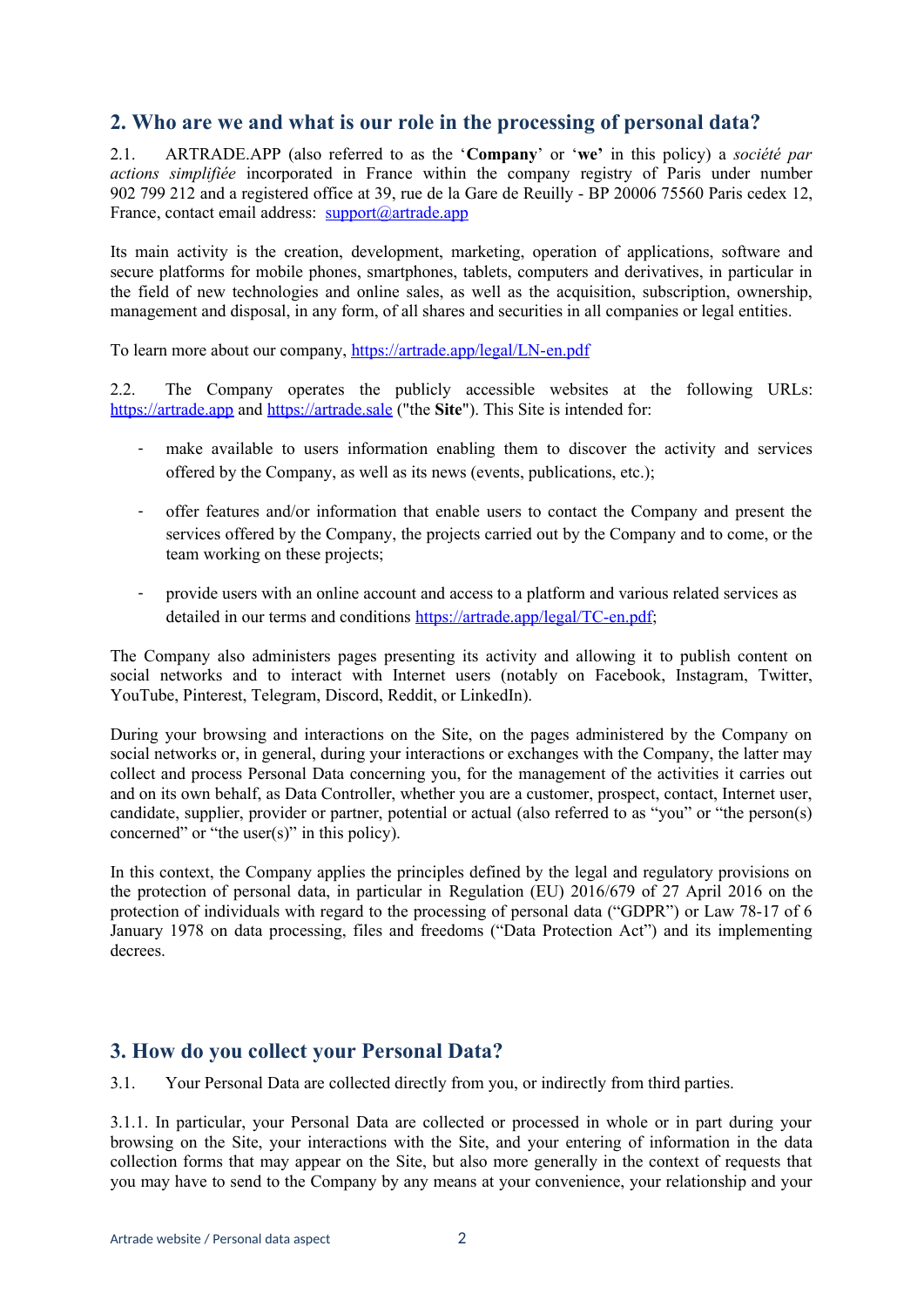## **2. Who are we and what is our role in the processing of personal data?**

2.1. ARTRADE.APP (also referred to as the '**Company**' or '**we'** in this policy) a *société par actions simplifiée* incorporated in France within the company registry of Paris under number 902 799 212 and a registered office at 39, rue de la Gare de Reuilly - BP 20006 75560 Paris cedex 12, France, contact email address: [support@artrade.app](mailto:support@artrade.app)

Its main activity is the creation, development, marketing, operation of applications, software and secure platforms for mobile phones, smartphones, tablets, computers and derivatives, in particular in the field of new technologies and online sales, as well as the acquisition, subscription, ownership, management and disposal, in any form, of all shares and securities in all companies or legal entities.

To learn more about our company, https://artrade.app/legal/LN-en.pdf

2.2. The Company operates the publicly accessible websites at the following URLs: https://artrade.app and [https://artrade.sale](https://artrade.sale/) ("the **Site**"). This Site is intended for:

- make available to users information enabling them to discover the activity and services offered by the Company, as well as its news (events, publications, etc.);
- offer features and/or information that enable users to contact the Company and present the services offered by the Company, the projects carried out by the Company and to come, or the team working on these projects;
- provide users with an online account and access to a platform and various related services as detailed in our terms and conditions <https://artrade.app/legal/TC-en.pdf>;

The Company also administers pages presenting its activity and allowing it to publish content on social networks and to interact with Internet users (notably on Facebook, Instagram, Twitter, YouTube, Pinterest, Telegram, Discord, Reddit, or LinkedIn).

During your browsing and interactions on the Site, on the pages administered by the Company on social networks or, in general, during your interactions or exchanges with the Company, the latter may collect and process Personal Data concerning you, for the management of the activities it carries out and on its own behalf, as Data Controller, whether you are a customer, prospect, contact, Internet user, candidate, supplier, provider or partner, potential or actual (also referred to as "you" or "the person(s) concerned" or "the user(s)" in this policy).

In this context, the Company applies the principles defined by the legal and regulatory provisions on the protection of personal data, in particular in Regulation (EU) 2016/679 of 27 April 2016 on the protection of individuals with regard to the processing of personal data ("GDPR") or Law 78-17 of 6 January 1978 on data processing, files and freedoms ("Data Protection Act") and its implementing decrees.

## **3. How do you collect your Personal Data?**

3.1. Your Personal Data are collected directly from you, or indirectly from third parties.

3.1.1. In particular, your Personal Data are collected or processed in whole or in part during your browsing on the Site, your interactions with the Site, and your entering of information in the data collection forms that may appear on the Site, but also more generally in the context of requests that you may have to send to the Company by any means at your convenience, your relationship and your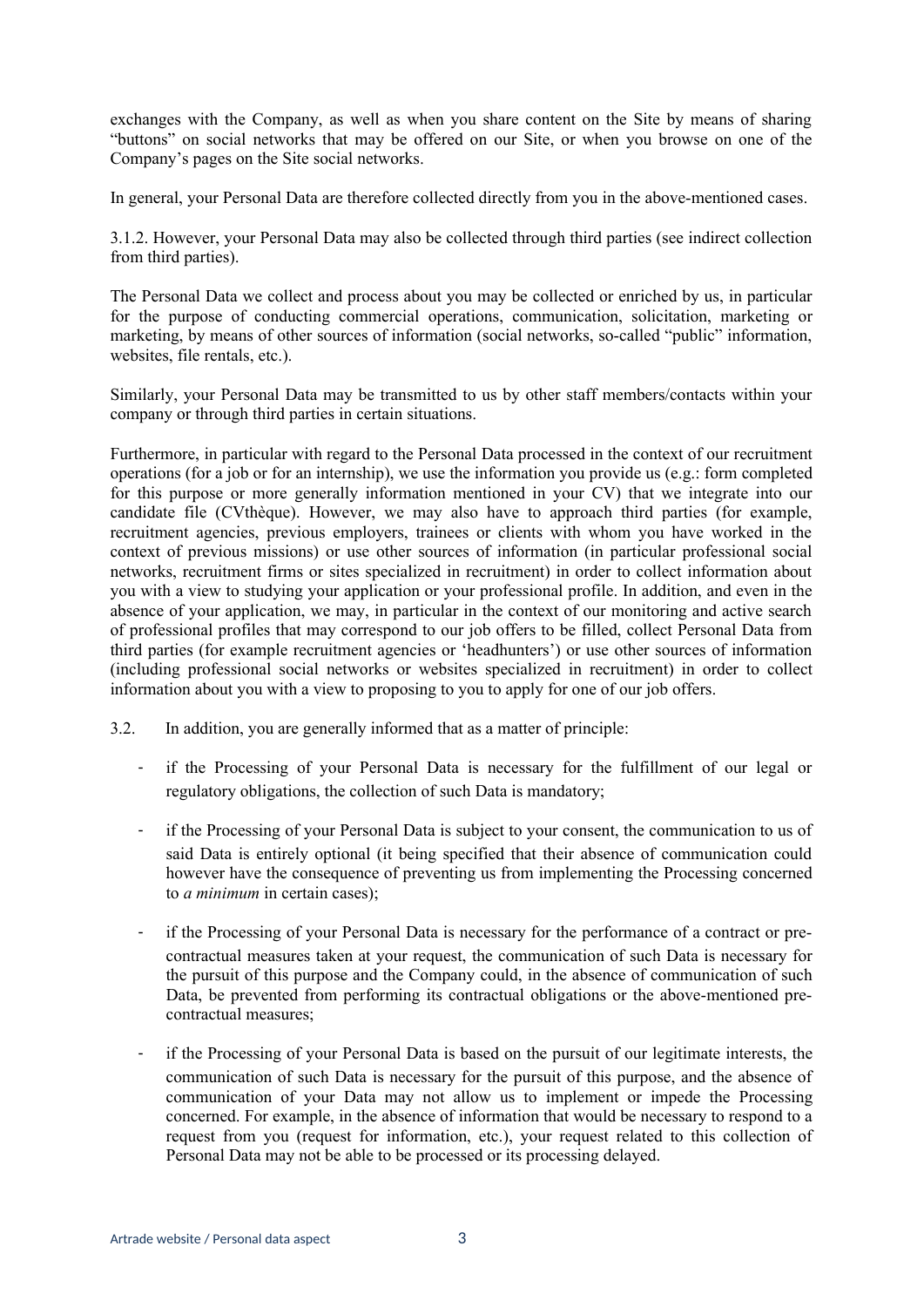exchanges with the Company, as well as when you share content on the Site by means of sharing "buttons" on social networks that may be offered on our Site, or when you browse on one of the Company's pages on the Site social networks.

In general, your Personal Data are therefore collected directly from you in the above-mentioned cases.

3.1.2. However, your Personal Data may also be collected through third parties (see indirect collection from third parties).

The Personal Data we collect and process about you may be collected or enriched by us, in particular for the purpose of conducting commercial operations, communication, solicitation, marketing or marketing, by means of other sources of information (social networks, so-called "public" information, websites, file rentals, etc.).

Similarly, your Personal Data may be transmitted to us by other staff members/contacts within your company or through third parties in certain situations.

Furthermore, in particular with regard to the Personal Data processed in the context of our recruitment operations (for a job or for an internship), we use the information you provide us (e.g.: form completed for this purpose or more generally information mentioned in your CV) that we integrate into our candidate file (CVthèque). However, we may also have to approach third parties (for example, recruitment agencies, previous employers, trainees or clients with whom you have worked in the context of previous missions) or use other sources of information (in particular professional social networks, recruitment firms or sites specialized in recruitment) in order to collect information about you with a view to studying your application or your professional profile. In addition, and even in the absence of your application, we may, in particular in the context of our monitoring and active search of professional profiles that may correspond to our job offers to be filled, collect Personal Data from third parties (for example recruitment agencies or 'headhunters') or use other sources of information (including professional social networks or websites specialized in recruitment) in order to collect information about you with a view to proposing to you to apply for one of our job offers.

- 3.2. In addition, you are generally informed that as a matter of principle:
	- if the Processing of your Personal Data is necessary for the fulfillment of our legal or regulatory obligations, the collection of such Data is mandatory;
	- if the Processing of your Personal Data is subject to your consent, the communication to us of said Data is entirely optional (it being specified that their absence of communication could however have the consequence of preventing us from implementing the Processing concerned to *a minimum* in certain cases);
	- if the Processing of your Personal Data is necessary for the performance of a contract or precontractual measures taken at your request, the communication of such Data is necessary for the pursuit of this purpose and the Company could, in the absence of communication of such Data, be prevented from performing its contractual obligations or the above-mentioned precontractual measures;
	- if the Processing of your Personal Data is based on the pursuit of our legitimate interests, the communication of such Data is necessary for the pursuit of this purpose, and the absence of communication of your Data may not allow us to implement or impede the Processing concerned. For example, in the absence of information that would be necessary to respond to a request from you (request for information, etc.), your request related to this collection of Personal Data may not be able to be processed or its processing delayed.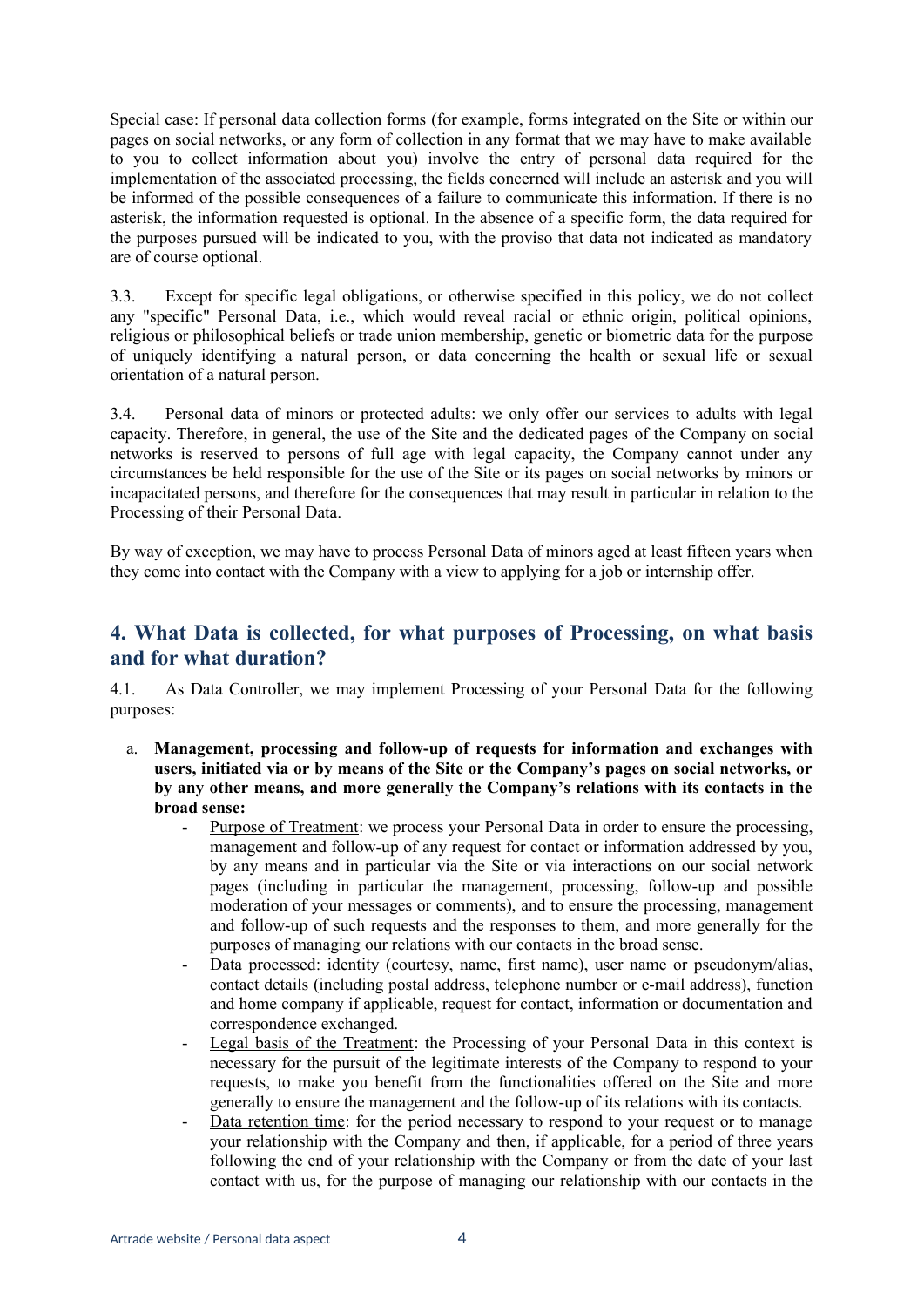Special case: If personal data collection forms (for example, forms integrated on the Site or within our pages on social networks, or any form of collection in any format that we may have to make available to you to collect information about you) involve the entry of personal data required for the implementation of the associated processing, the fields concerned will include an asterisk and you will be informed of the possible consequences of a failure to communicate this information. If there is no asterisk, the information requested is optional. In the absence of a specific form, the data required for the purposes pursued will be indicated to you, with the proviso that data not indicated as mandatory are of course optional.

3.3. Except for specific legal obligations, or otherwise specified in this policy, we do not collect any "specific" Personal Data, i.e., which would reveal racial or ethnic origin, political opinions, religious or philosophical beliefs or trade union membership, genetic or biometric data for the purpose of uniquely identifying a natural person, or data concerning the health or sexual life or sexual orientation of a natural person.

3.4. Personal data of minors or protected adults: we only offer our services to adults with legal capacity. Therefore, in general, the use of the Site and the dedicated pages of the Company on social networks is reserved to persons of full age with legal capacity, the Company cannot under any circumstances be held responsible for the use of the Site or its pages on social networks by minors or incapacitated persons, and therefore for the consequences that may result in particular in relation to the Processing of their Personal Data.

By way of exception, we may have to process Personal Data of minors aged at least fifteen years when they come into contact with the Company with a view to applying for a job or internship offer.

## **4. What Data is collected, for what purposes of Processing, on what basis and for what duration?**

4.1. As Data Controller, we may implement Processing of your Personal Data for the following purposes:

- a. **Management, processing and follow-up of requests for information and exchanges with users, initiated via or by means of the Site or the Company's pages on social networks, or by any other means, and more generally the Company's relations with its contacts in the broad sense:** 
	- Purpose of Treatment: we process your Personal Data in order to ensure the processing. management and follow-up of any request for contact or information addressed by you, by any means and in particular via the Site or via interactions on our social network pages (including in particular the management, processing, follow-up and possible moderation of your messages or comments), and to ensure the processing, management and follow-up of such requests and the responses to them, and more generally for the purposes of managing our relations with our contacts in the broad sense.
	- Data processed: identity (courtesy, name, first name), user name or pseudonym/alias, contact details (including postal address, telephone number or e-mail address), function and home company if applicable, request for contact, information or documentation and correspondence exchanged.
	- Legal basis of the Treatment: the Processing of your Personal Data in this context is necessary for the pursuit of the legitimate interests of the Company to respond to your requests, to make you benefit from the functionalities offered on the Site and more generally to ensure the management and the follow-up of its relations with its contacts.
	- Data retention time: for the period necessary to respond to your request or to manage your relationship with the Company and then, if applicable, for a period of three years following the end of your relationship with the Company or from the date of your last contact with us, for the purpose of managing our relationship with our contacts in the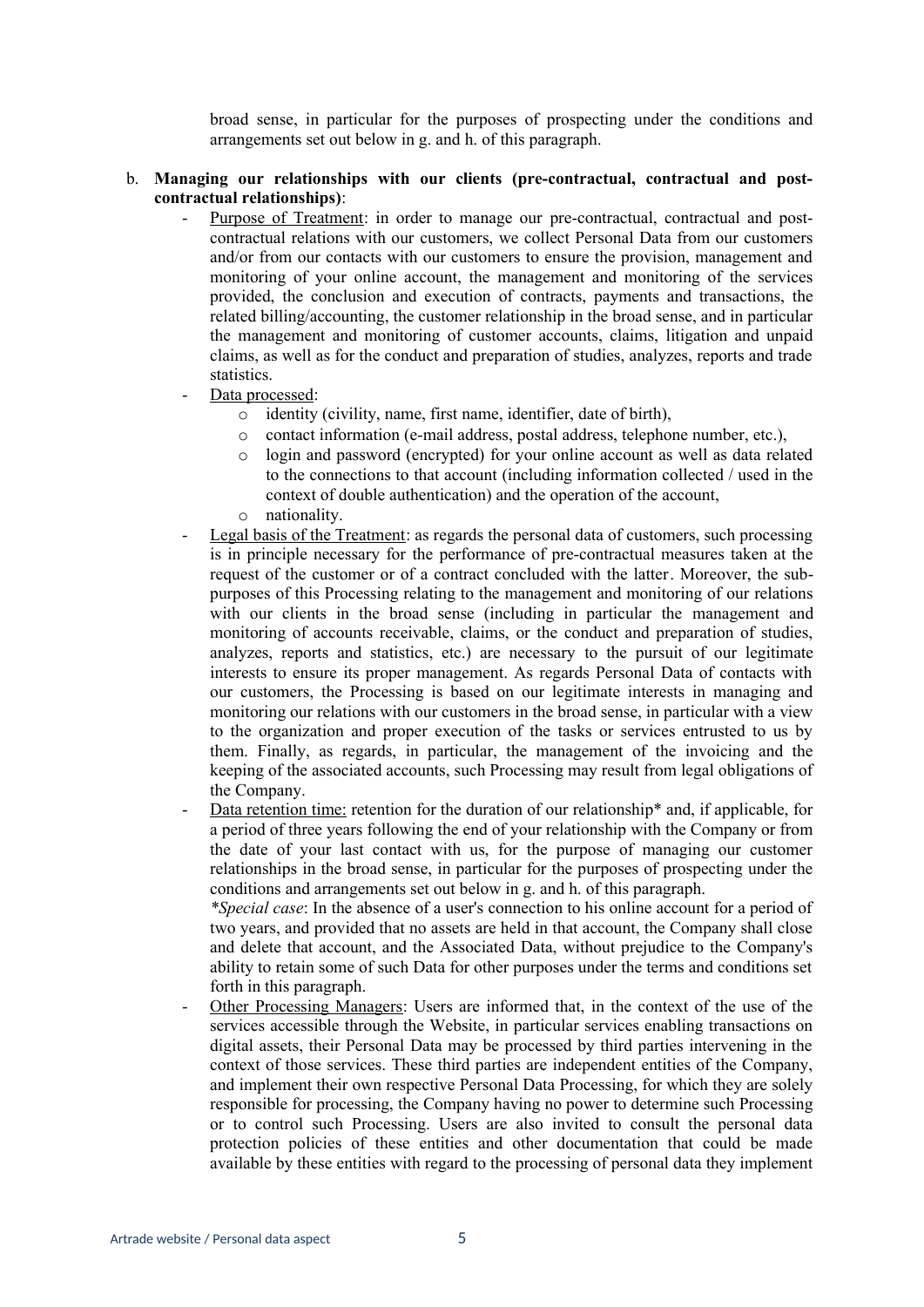broad sense, in particular for the purposes of prospecting under the conditions and arrangements set out below in g. and h. of this paragraph.

### b. **Managing our relationships with our clients (pre-contractual, contractual and postcontractual relationships)**:

- Purpose of Treatment: in order to manage our pre-contractual, contractual and postcontractual relations with our customers, we collect Personal Data from our customers and/or from our contacts with our customers to ensure the provision, management and monitoring of your online account, the management and monitoring of the services provided, the conclusion and execution of contracts, payments and transactions, the related billing/accounting, the customer relationship in the broad sense, and in particular the management and monitoring of customer accounts, claims, litigation and unpaid claims, as well as for the conduct and preparation of studies, analyzes, reports and trade statistics.
- Data processed:
	- o identity (civility, name, first name, identifier, date of birth),
	- o contact information (e-mail address, postal address, telephone number, etc.),
	- o login and password (encrypted) for your online account as well as data related to the connections to that account (including information collected / used in the context of double authentication) and the operation of the account,
	- o nationality.
- Legal basis of the Treatment: as regards the personal data of customers, such processing is in principle necessary for the performance of pre-contractual measures taken at the request of the customer or of a contract concluded with the latter. Moreover, the subpurposes of this Processing relating to the management and monitoring of our relations with our clients in the broad sense (including in particular the management and monitoring of accounts receivable, claims, or the conduct and preparation of studies, analyzes, reports and statistics, etc.) are necessary to the pursuit of our legitimate interests to ensure its proper management. As regards Personal Data of contacts with our customers, the Processing is based on our legitimate interests in managing and monitoring our relations with our customers in the broad sense, in particular with a view to the organization and proper execution of the tasks or services entrusted to us by them. Finally, as regards, in particular, the management of the invoicing and the keeping of the associated accounts, such Processing may result from legal obligations of the Company.
- Data retention time: retention for the duration of our relationship\* and, if applicable, for a period of three years following the end of your relationship with the Company or from the date of your last contact with us, for the purpose of managing our customer relationships in the broad sense, in particular for the purposes of prospecting under the conditions and arrangements set out below in g. and h. of this paragraph.

*\*Special case*: In the absence of a user's connection to his online account for a period of two years, and provided that no assets are held in that account, the Company shall close and delete that account, and the Associated Data, without prejudice to the Company's ability to retain some of such Data for other purposes under the terms and conditions set forth in this paragraph.

- Other Processing Managers: Users are informed that, in the context of the use of the services accessible through the Website, in particular services enabling transactions on digital assets, their Personal Data may be processed by third parties intervening in the context of those services. These third parties are independent entities of the Company, and implement their own respective Personal Data Processing, for which they are solely responsible for processing, the Company having no power to determine such Processing or to control such Processing. Users are also invited to consult the personal data protection policies of these entities and other documentation that could be made available by these entities with regard to the processing of personal data they implement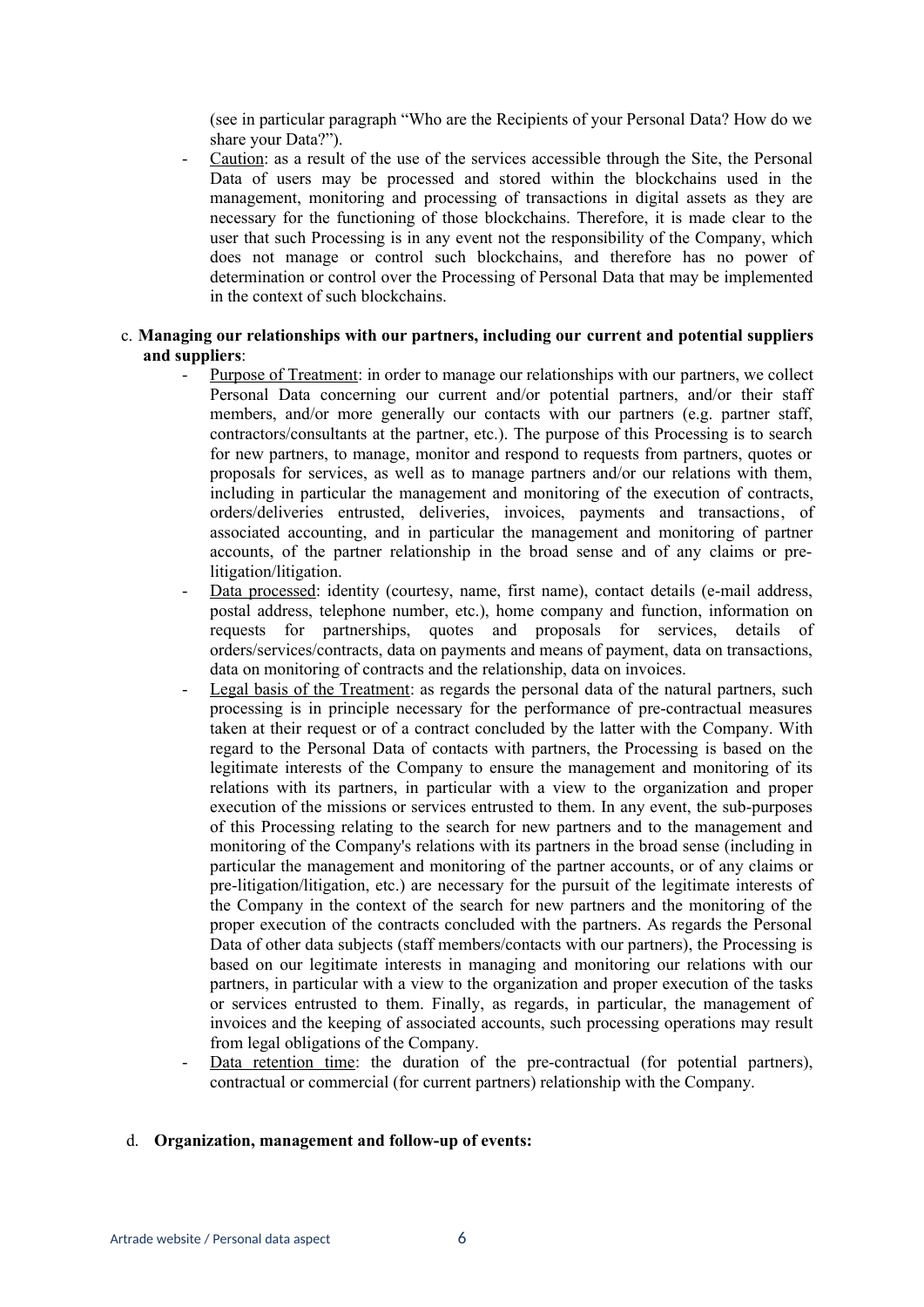(see in particular paragraph "Who are the Recipients of your Personal Data? How do we share your Data?").

Caution: as a result of the use of the services accessible through the Site, the Personal Data of users may be processed and stored within the blockchains used in the management, monitoring and processing of transactions in digital assets as they are necessary for the functioning of those blockchains. Therefore, it is made clear to the user that such Processing is in any event not the responsibility of the Company, which does not manage or control such blockchains, and therefore has no power of determination or control over the Processing of Personal Data that may be implemented in the context of such blockchains.

### c. **Managing our relationships with our partners, including our current and potential suppliers and suppliers**:

- Purpose of Treatment: in order to manage our relationships with our partners, we collect Personal Data concerning our current and/or potential partners, and/or their staff members, and/or more generally our contacts with our partners (e.g. partner staff, contractors/consultants at the partner, etc.). The purpose of this Processing is to search for new partners, to manage, monitor and respond to requests from partners, quotes or proposals for services, as well as to manage partners and/or our relations with them, including in particular the management and monitoring of the execution of contracts, orders/deliveries entrusted, deliveries, invoices, payments and transactions, of associated accounting, and in particular the management and monitoring of partner accounts, of the partner relationship in the broad sense and of any claims or prelitigation/litigation.
- Data processed: identity (courtesy, name, first name), contact details (e-mail address, postal address, telephone number, etc.), home company and function, information on requests for partnerships, quotes and proposals for services, details of orders/services/contracts, data on payments and means of payment, data on transactions, data on monitoring of contracts and the relationship, data on invoices.
- Legal basis of the Treatment: as regards the personal data of the natural partners, such processing is in principle necessary for the performance of pre-contractual measures taken at their request or of a contract concluded by the latter with the Company. With regard to the Personal Data of contacts with partners, the Processing is based on the legitimate interests of the Company to ensure the management and monitoring of its relations with its partners, in particular with a view to the organization and proper execution of the missions or services entrusted to them. In any event, the sub-purposes of this Processing relating to the search for new partners and to the management and monitoring of the Company's relations with its partners in the broad sense (including in particular the management and monitoring of the partner accounts, or of any claims or pre-litigation/litigation, etc.) are necessary for the pursuit of the legitimate interests of the Company in the context of the search for new partners and the monitoring of the proper execution of the contracts concluded with the partners. As regards the Personal Data of other data subjects (staff members/contacts with our partners), the Processing is based on our legitimate interests in managing and monitoring our relations with our partners, in particular with a view to the organization and proper execution of the tasks or services entrusted to them. Finally, as regards, in particular, the management of invoices and the keeping of associated accounts, such processing operations may result from legal obligations of the Company.
- Data retention time: the duration of the pre-contractual (for potential partners), contractual or commercial (for current partners) relationship with the Company.

### d. **Organization, management and follow-up of events:**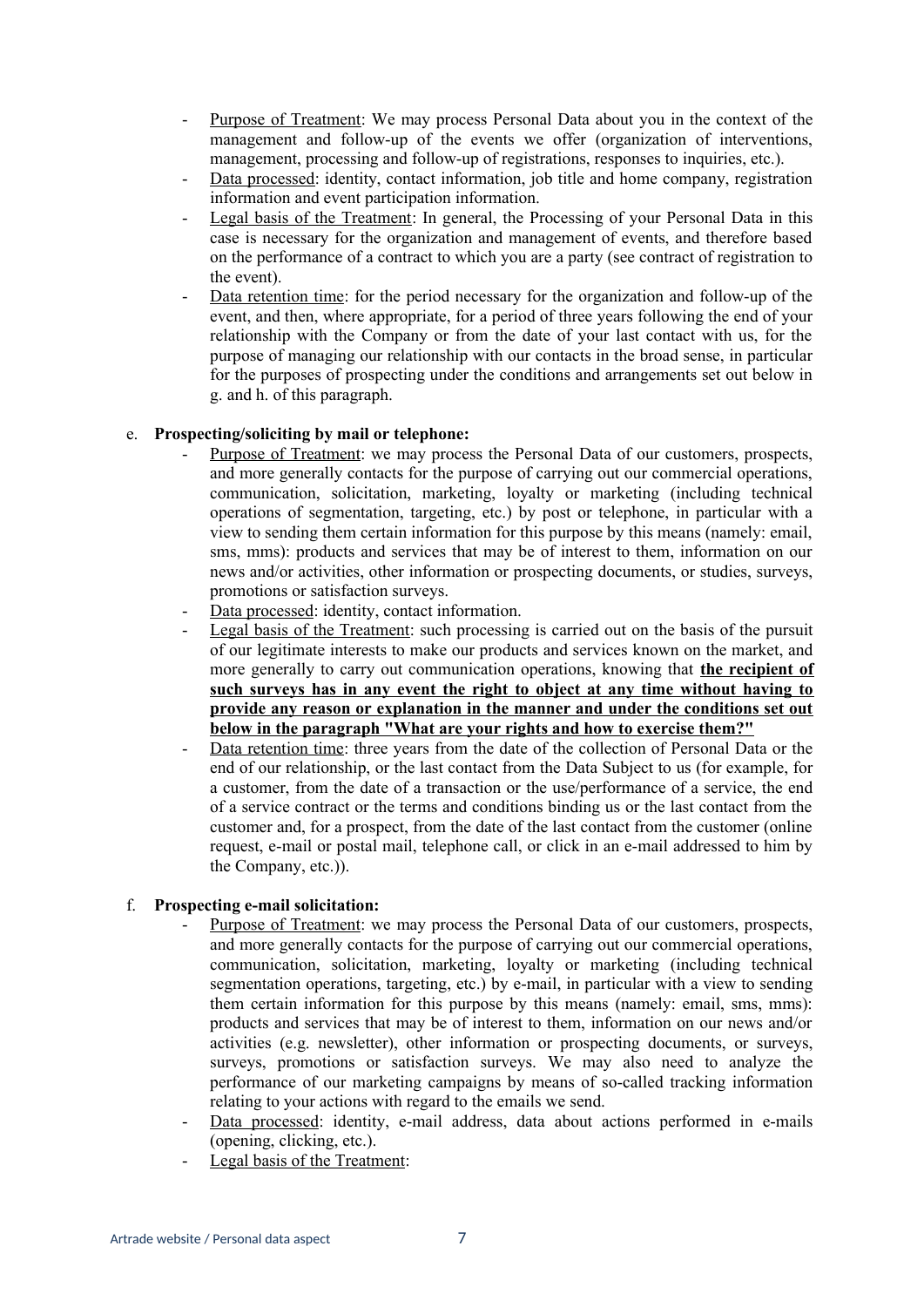- Purpose of Treatment: We may process Personal Data about you in the context of the management and follow-up of the events we offer (organization of interventions, management, processing and follow-up of registrations, responses to inquiries, etc.).
- Data processed: identity, contact information, job title and home company, registration information and event participation information.
- Legal basis of the Treatment: In general, the Processing of your Personal Data in this case is necessary for the organization and management of events, and therefore based on the performance of a contract to which you are a party (see contract of registration to the event).
- Data retention time: for the period necessary for the organization and follow-up of the event, and then, where appropriate, for a period of three years following the end of your relationship with the Company or from the date of your last contact with us, for the purpose of managing our relationship with our contacts in the broad sense, in particular for the purposes of prospecting under the conditions and arrangements set out below in g. and h. of this paragraph.

### e. **Prospecting/soliciting by mail or telephone:**

- Purpose of Treatment: we may process the Personal Data of our customers, prospects, and more generally contacts for the purpose of carrying out our commercial operations, communication, solicitation, marketing, loyalty or marketing (including technical operations of segmentation, targeting, etc.) by post or telephone, in particular with a view to sending them certain information for this purpose by this means (namely: email, sms, mms): products and services that may be of interest to them, information on our news and/or activities, other information or prospecting documents, or studies, surveys, promotions or satisfaction surveys.
- Data processed: identity, contact information.
- Legal basis of the Treatment: such processing is carried out on the basis of the pursuit of our legitimate interests to make our products and services known on the market, and more generally to carry out communication operations, knowing that **the recipient of such surveys has in any event the right to object at any time without having to provide any reason or explanation in the manner and under the conditions set out below in the paragraph "What are your rights and how to exercise them?"**
- Data retention time: three years from the date of the collection of Personal Data or the end of our relationship, or the last contact from the Data Subject to us (for example, for a customer, from the date of a transaction or the use/performance of a service, the end of a service contract or the terms and conditions binding us or the last contact from the customer and, for a prospect, from the date of the last contact from the customer (online request, e-mail or postal mail, telephone call, or click in an e-mail addressed to him by the Company, etc.)).

### f. **Prospecting e-mail solicitation:**

- Purpose of Treatment: we may process the Personal Data of our customers, prospects, and more generally contacts for the purpose of carrying out our commercial operations, communication, solicitation, marketing, loyalty or marketing (including technical segmentation operations, targeting, etc.) by e-mail, in particular with a view to sending them certain information for this purpose by this means (namely: email, sms, mms): products and services that may be of interest to them, information on our news and/or activities (e.g. newsletter), other information or prospecting documents, or surveys, surveys, promotions or satisfaction surveys. We may also need to analyze the performance of our marketing campaigns by means of so-called tracking information relating to your actions with regard to the emails we send.
- Data processed: identity, e-mail address, data about actions performed in e-mails (opening, clicking, etc.).
- Legal basis of the Treatment: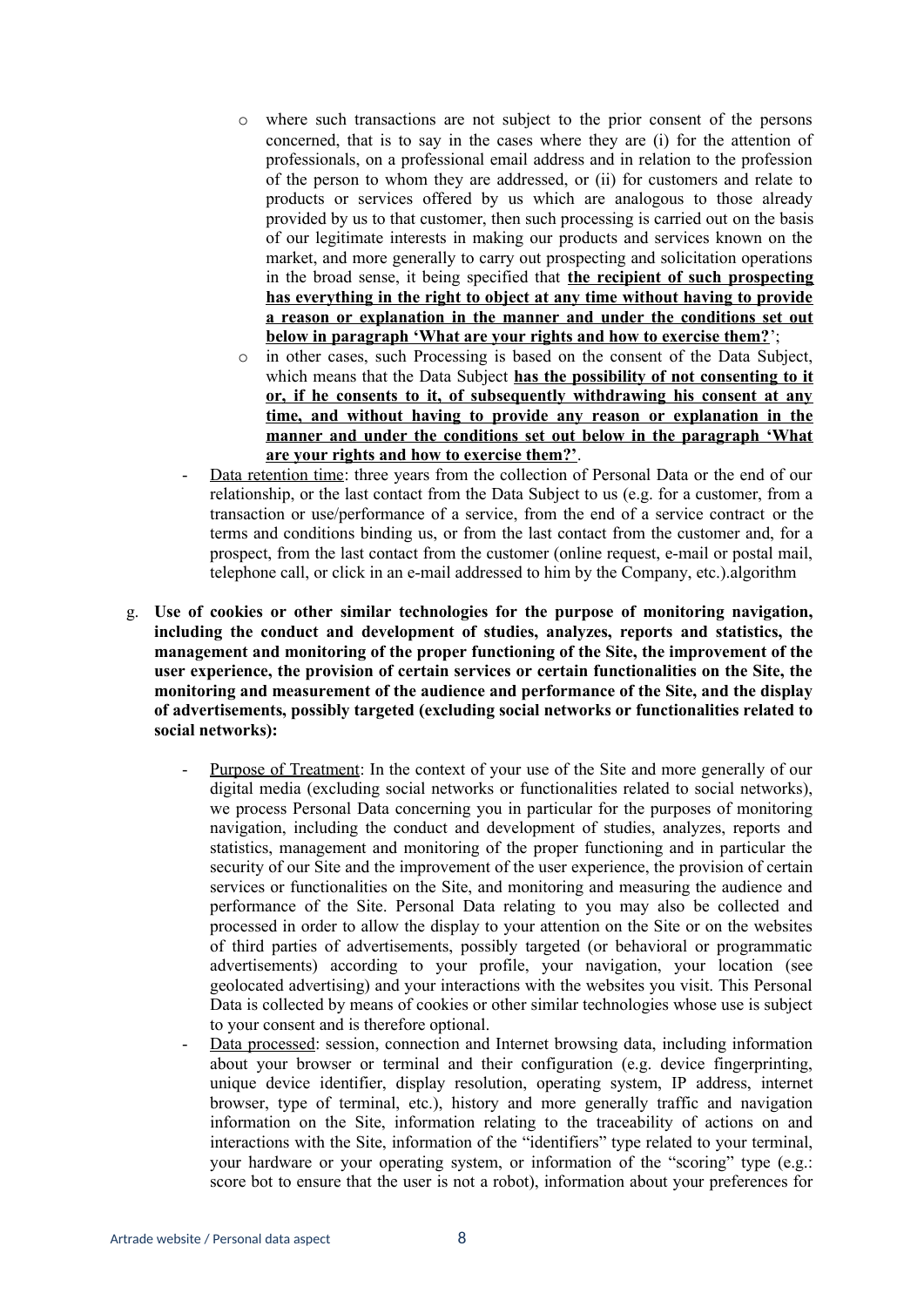- o where such transactions are not subject to the prior consent of the persons concerned, that is to say in the cases where they are (i) for the attention of professionals, on a professional email address and in relation to the profession of the person to whom they are addressed, or (ii) for customers and relate to products or services offered by us which are analogous to those already provided by us to that customer, then such processing is carried out on the basis of our legitimate interests in making our products and services known on the market, and more generally to carry out prospecting and solicitation operations in the broad sense, it being specified that **the recipient of such prospecting has everything in the right to object at any time without having to provide a reason or explanation in the manner and under the conditions set out below in paragraph 'What are your rights and how to exercise them?**';
- in other cases, such Processing is based on the consent of the Data Subject, which means that the Data Subject **has the possibility of not consenting to it or, if he consents to it, of subsequently withdrawing his consent at any time, and without having to provide any reason or explanation in the manner and under the conditions set out below in the paragraph 'What are your rights and how to exercise them?'**.
- Data retention time: three years from the collection of Personal Data or the end of our relationship, or the last contact from the Data Subject to us (e.g. for a customer, from a transaction or use/performance of a service, from the end of a service contract or the terms and conditions binding us, or from the last contact from the customer and, for a prospect, from the last contact from the customer (online request, e-mail or postal mail, telephone call, or click in an e-mail addressed to him by the Company, etc.).algorithm
- g. **Use of cookies or other similar technologies for the purpose of monitoring navigation, including the conduct and development of studies, analyzes, reports and statistics, the management and monitoring of the proper functioning of the Site, the improvement of the user experience, the provision of certain services or certain functionalities on the Site, the monitoring and measurement of the audience and performance of the Site, and the display of advertisements, possibly targeted (excluding social networks or functionalities related to social networks):**
	- Purpose of Treatment: In the context of your use of the Site and more generally of our digital media (excluding social networks or functionalities related to social networks), we process Personal Data concerning you in particular for the purposes of monitoring navigation, including the conduct and development of studies, analyzes, reports and statistics, management and monitoring of the proper functioning and in particular the security of our Site and the improvement of the user experience, the provision of certain services or functionalities on the Site, and monitoring and measuring the audience and performance of the Site. Personal Data relating to you may also be collected and processed in order to allow the display to your attention on the Site or on the websites of third parties of advertisements, possibly targeted (or behavioral or programmatic advertisements) according to your profile, your navigation, your location (see geolocated advertising) and your interactions with the websites you visit. This Personal Data is collected by means of cookies or other similar technologies whose use is subject to your consent and is therefore optional.
	- Data processed: session, connection and Internet browsing data, including information about your browser or terminal and their configuration (e.g. device fingerprinting, unique device identifier, display resolution, operating system, IP address, internet browser, type of terminal, etc.), history and more generally traffic and navigation information on the Site, information relating to the traceability of actions on and interactions with the Site, information of the "identifiers" type related to your terminal, your hardware or your operating system, or information of the "scoring" type (e.g.: score bot to ensure that the user is not a robot), information about your preferences for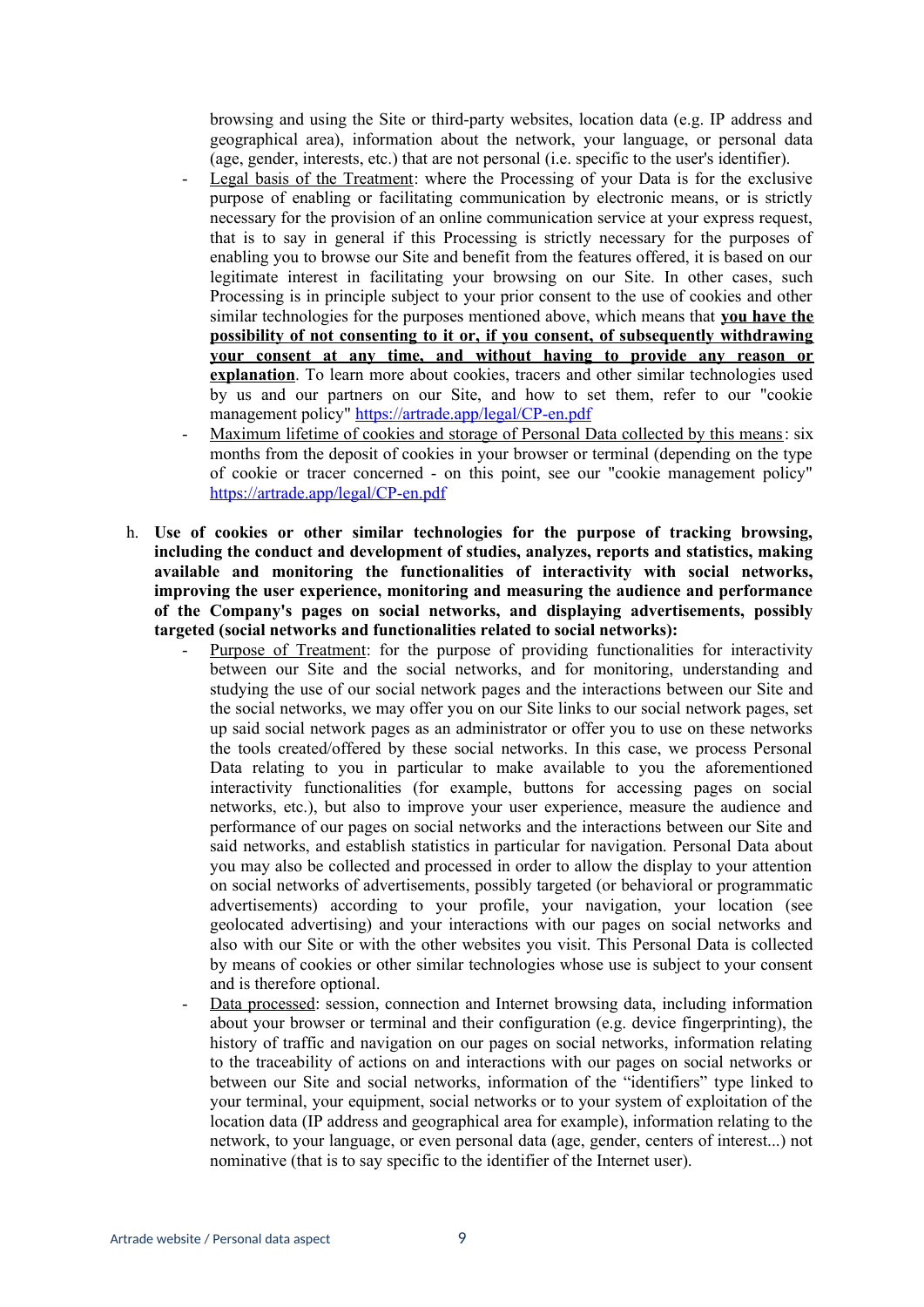browsing and using the Site or third-party websites, location data (e.g. IP address and geographical area), information about the network, your language, or personal data (age, gender, interests, etc.) that are not personal (i.e. specific to the user's identifier).

- Legal basis of the Treatment: where the Processing of your Data is for the exclusive purpose of enabling or facilitating communication by electronic means, or is strictly necessary for the provision of an online communication service at your express request, that is to say in general if this Processing is strictly necessary for the purposes of enabling you to browse our Site and benefit from the features offered, it is based on our legitimate interest in facilitating your browsing on our Site. In other cases, such Processing is in principle subject to your prior consent to the use of cookies and other similar technologies for the purposes mentioned above, which means that **you have the possibility of not consenting to it or, if you consent, of subsequently withdrawing your consent at any time, and without having to provide any reason or explanation**. To learn more about cookies, tracers and other similar technologies used by us and our partners on our Site, and how to set them, refer to our "cookie management policy" <https://artrade.app/legal/CP-en.pdf>
- Maximum lifetime of cookies and storage of Personal Data collected by this means: six months from the deposit of cookies in your browser or terminal (depending on the type of cookie or tracer concerned - on this point, see our "cookie management policy" <https://artrade.app/legal/CP-en.pdf>
- h. **Use of cookies or other similar technologies for the purpose of tracking browsing, including the conduct and development of studies, analyzes, reports and statistics, making available and monitoring the functionalities of interactivity with social networks, improving the user experience, monitoring and measuring the audience and performance of the Company's pages on social networks, and displaying advertisements, possibly targeted (social networks and functionalities related to social networks):**
	- Purpose of Treatment: for the purpose of providing functionalities for interactivity between our Site and the social networks, and for monitoring, understanding and studying the use of our social network pages and the interactions between our Site and the social networks, we may offer you on our Site links to our social network pages, set up said social network pages as an administrator or offer you to use on these networks the tools created/offered by these social networks. In this case, we process Personal Data relating to you in particular to make available to you the aforementioned interactivity functionalities (for example, buttons for accessing pages on social networks, etc.), but also to improve your user experience, measure the audience and performance of our pages on social networks and the interactions between our Site and said networks, and establish statistics in particular for navigation. Personal Data about you may also be collected and processed in order to allow the display to your attention on social networks of advertisements, possibly targeted (or behavioral or programmatic advertisements) according to your profile, your navigation, your location (see geolocated advertising) and your interactions with our pages on social networks and also with our Site or with the other websites you visit. This Personal Data is collected by means of cookies or other similar technologies whose use is subject to your consent and is therefore optional.
	- Data processed: session, connection and Internet browsing data, including information about your browser or terminal and their configuration (e.g. device fingerprinting), the history of traffic and navigation on our pages on social networks, information relating to the traceability of actions on and interactions with our pages on social networks or between our Site and social networks, information of the "identifiers" type linked to your terminal, your equipment, social networks or to your system of exploitation of the location data (IP address and geographical area for example), information relating to the network, to your language, or even personal data (age, gender, centers of interest...) not nominative (that is to say specific to the identifier of the Internet user).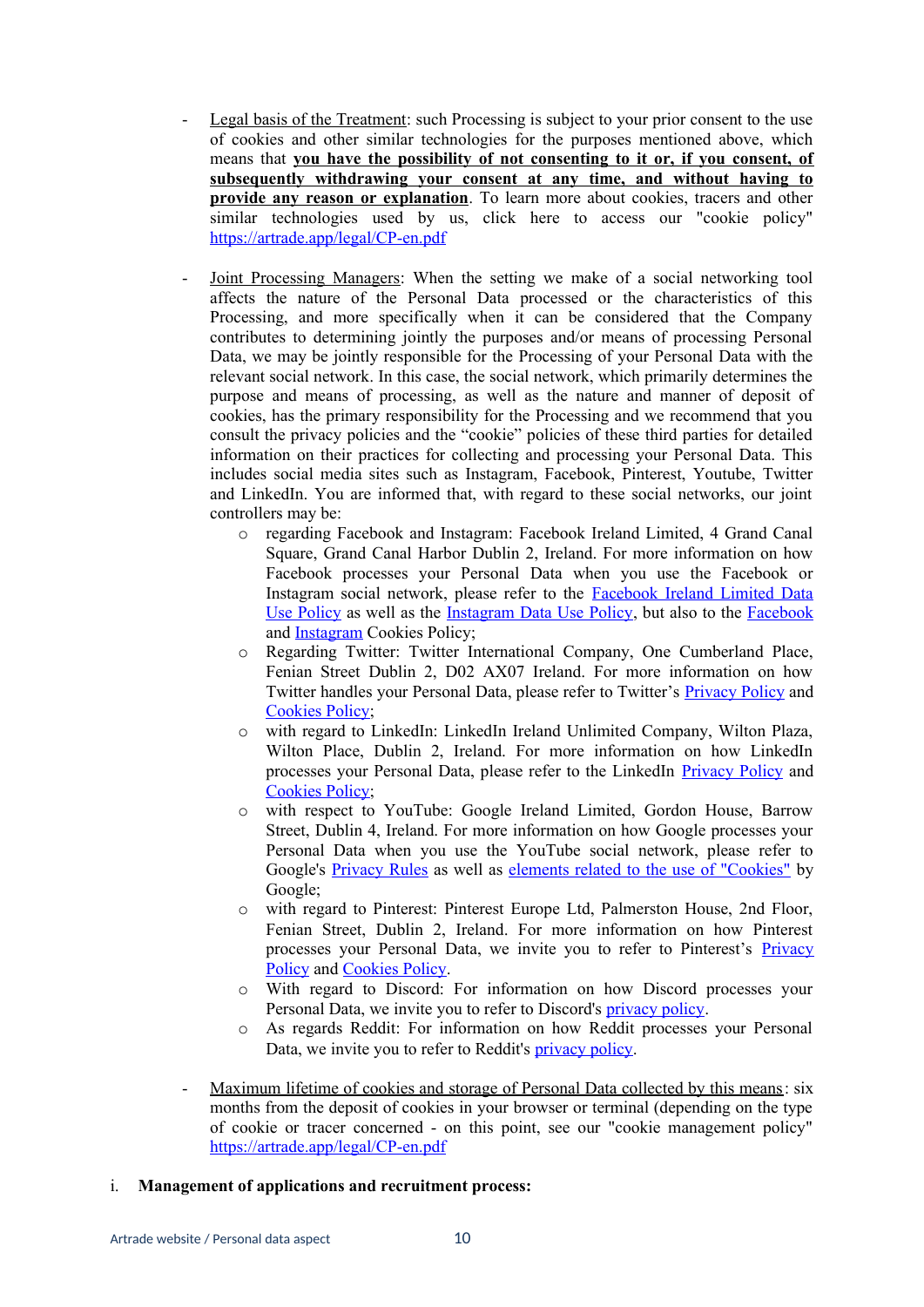- Legal basis of the Treatment: such Processing is subject to your prior consent to the use of cookies and other similar technologies for the purposes mentioned above, which means that **you have the possibility of not consenting to it or, if you consent, of subsequently withdrawing your consent at any time, and without having to provide any reason or explanation**. To learn more about cookies, tracers and other similar technologies used by us, click here to access our "cookie policy" <https://artrade.app/legal/CP-en.pdf>
- Joint Processing Managers: When the setting we make of a social networking tool affects the nature of the Personal Data processed or the characteristics of this Processing, and more specifically when it can be considered that the Company contributes to determining jointly the purposes and/or means of processing Personal Data, we may be jointly responsible for the Processing of your Personal Data with the relevant social network. In this case, the social network, which primarily determines the purpose and means of processing, as well as the nature and manner of deposit of cookies, has the primary responsibility for the Processing and we recommend that you consult the privacy policies and the "cookie" policies of these third parties for detailed information on their practices for collecting and processing your Personal Data. This includes social media sites such as Instagram, Facebook, Pinterest, Youtube, Twitter and LinkedIn. You are informed that, with regard to these social networks, our joint controllers may be:
	- o regarding Facebook and Instagram: Facebook Ireland Limited, 4 Grand Canal Square, Grand Canal Harbor Dublin 2, Ireland. For more information on how Facebook processes your Personal Data when you use the Facebook or Instagram social network, please refer to the [Facebook Ireland Limited Data](https://www.facebook.com/policy.php) [Use Policy](https://www.facebook.com/policy.php) as well as the [Instagram Data Use Policy](https://help.instagram.com/519522125107875/?helpref=hc_fnav&bc%5B0%5D=Aide%20sur%20Instagram&bc%5B1%5D=Confidentialit%C3%A9%20et%20s%C3%A9curit%C3%A9), but also to the [Facebook](https://www.facebook.com/policies/cookies/) and [Instagram](https://help.instagram.com/1896641480634370?ref=ig) Cookies Policy;
	- o Regarding Twitter: Twitter International Company, One Cumberland Place, Fenian Street Dublin 2, D02 AX07 Ireland. For more information on how Twitter handles your Personal Data, please refer to Twitter's [Privacy Policy](https://twitter.com/fr/privacy) and [Cookies Policy](https://help.twitter.com/fr/rules-and-policies/twitter-cookies);
	- o with regard to LinkedIn: LinkedIn Ireland Unlimited Company, Wilton Plaza, Wilton Place, Dublin 2, Ireland. For more information on how LinkedIn processes your Personal Data, please refer to the LinkedIn [Privacy Policy](https://www.linkedin.com/legal/privacy-policy?trk=hb_ft_priv) and [Cookies Policy](https://www.linkedin.com/legal/cookie-policy);
	- o with respect to YouTube: Google Ireland Limited, Gordon House, Barrow Street, Dublin 4, Ireland. For more information on how Google processes your Personal Data when you use the YouTube social network, please refer to Google's [Privacy Rules](https://policies.google.com/privacy?hl=frainsi) as well as [elements related to the use of "Cookies"](https://policies.google.com/technologies/cookies?hl=fr) by Google;
	- o with regard to Pinterest: Pinterest Europe Ltd, Palmerston House, 2nd Floor, Fenian Street, Dublin 2, Ireland. For more information on how Pinterest processes your Personal Data, we invite you to refer to Pinterest's [Privacy](https://policy.pinterest.com/fr/privacy-policy) [Policy](https://policy.pinterest.com/fr/privacy-policy) and [Cookies Policy.](https://policy.pinterest.com/fr/cookies)
	- o With regard to Discord: For information on how Discord processes your Personal Data, we invite you to refer to Discord's [privacy policy](https://discord.com/privacy).
	- o As regards Reddit: For information on how Reddit processes your Personal Data, we invite you to refer to Reddit's [privacy policy](https://www.redditinc.com/policies/privacy-policy-september-12-2021).
- Maximum lifetime of cookies and storage of Personal Data collected by this means: six months from the deposit of cookies in your browser or terminal (depending on the type of cookie or tracer concerned - on this point, see our "cookie management policy" <https://artrade.app/legal/CP-en.pdf>
- i. **Management of applications and recruitment process:**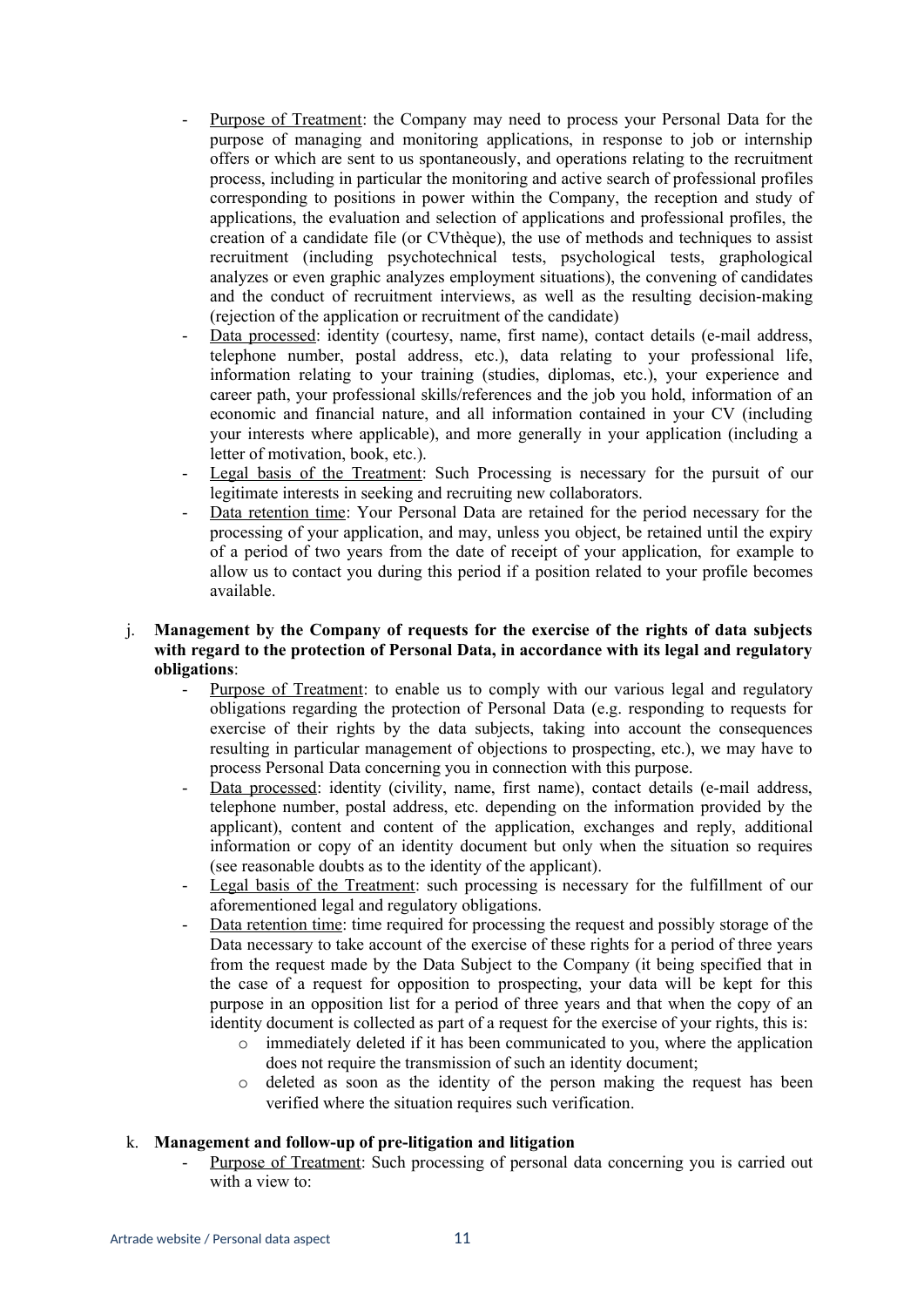- Purpose of Treatment: the Company may need to process your Personal Data for the purpose of managing and monitoring applications, in response to job or internship offers or which are sent to us spontaneously, and operations relating to the recruitment process, including in particular the monitoring and active search of professional profiles corresponding to positions in power within the Company, the reception and study of applications, the evaluation and selection of applications and professional profiles, the creation of a candidate file (or CVthèque), the use of methods and techniques to assist recruitment (including psychotechnical tests, psychological tests, graphological analyzes or even graphic analyzes employment situations), the convening of candidates and the conduct of recruitment interviews, as well as the resulting decision-making (rejection of the application or recruitment of the candidate)
- Data processed: identity (courtesy, name, first name), contact details (e-mail address, telephone number, postal address, etc.), data relating to your professional life, information relating to your training (studies, diplomas, etc.), your experience and career path, your professional skills/references and the job you hold, information of an economic and financial nature, and all information contained in your CV (including your interests where applicable), and more generally in your application (including a letter of motivation, book, etc.).
- Legal basis of the Treatment: Such Processing is necessary for the pursuit of our legitimate interests in seeking and recruiting new collaborators.
- Data retention time: Your Personal Data are retained for the period necessary for the processing of your application, and may, unless you object, be retained until the expiry of a period of two years from the date of receipt of your application, for example to allow us to contact you during this period if a position related to your profile becomes available.

### j. **Management by the Company of requests for the exercise of the rights of data subjects with regard to the protection of Personal Data, in accordance with its legal and regulatory obligations**:

- Purpose of Treatment: to enable us to comply with our various legal and regulatory obligations regarding the protection of Personal Data (e.g. responding to requests for exercise of their rights by the data subjects, taking into account the consequences resulting in particular management of objections to prospecting, etc.), we may have to process Personal Data concerning you in connection with this purpose.
- Data processed: identity (civility, name, first name), contact details (e-mail address, telephone number, postal address, etc. depending on the information provided by the applicant), content and content of the application, exchanges and reply, additional information or copy of an identity document but only when the situation so requires (see reasonable doubts as to the identity of the applicant).
- Legal basis of the Treatment: such processing is necessary for the fulfillment of our aforementioned legal and regulatory obligations.
- Data retention time: time required for processing the request and possibly storage of the Data necessary to take account of the exercise of these rights for a period of three years from the request made by the Data Subject to the Company (it being specified that in the case of a request for opposition to prospecting, your data will be kept for this purpose in an opposition list for a period of three years and that when the copy of an identity document is collected as part of a request for the exercise of your rights, this is:
	- o immediately deleted if it has been communicated to you, where the application does not require the transmission of such an identity document.
	- o deleted as soon as the identity of the person making the request has been verified where the situation requires such verification.

### k. **Management and follow-up of pre-litigation and litigation**

Purpose of Treatment: Such processing of personal data concerning you is carried out with a view to: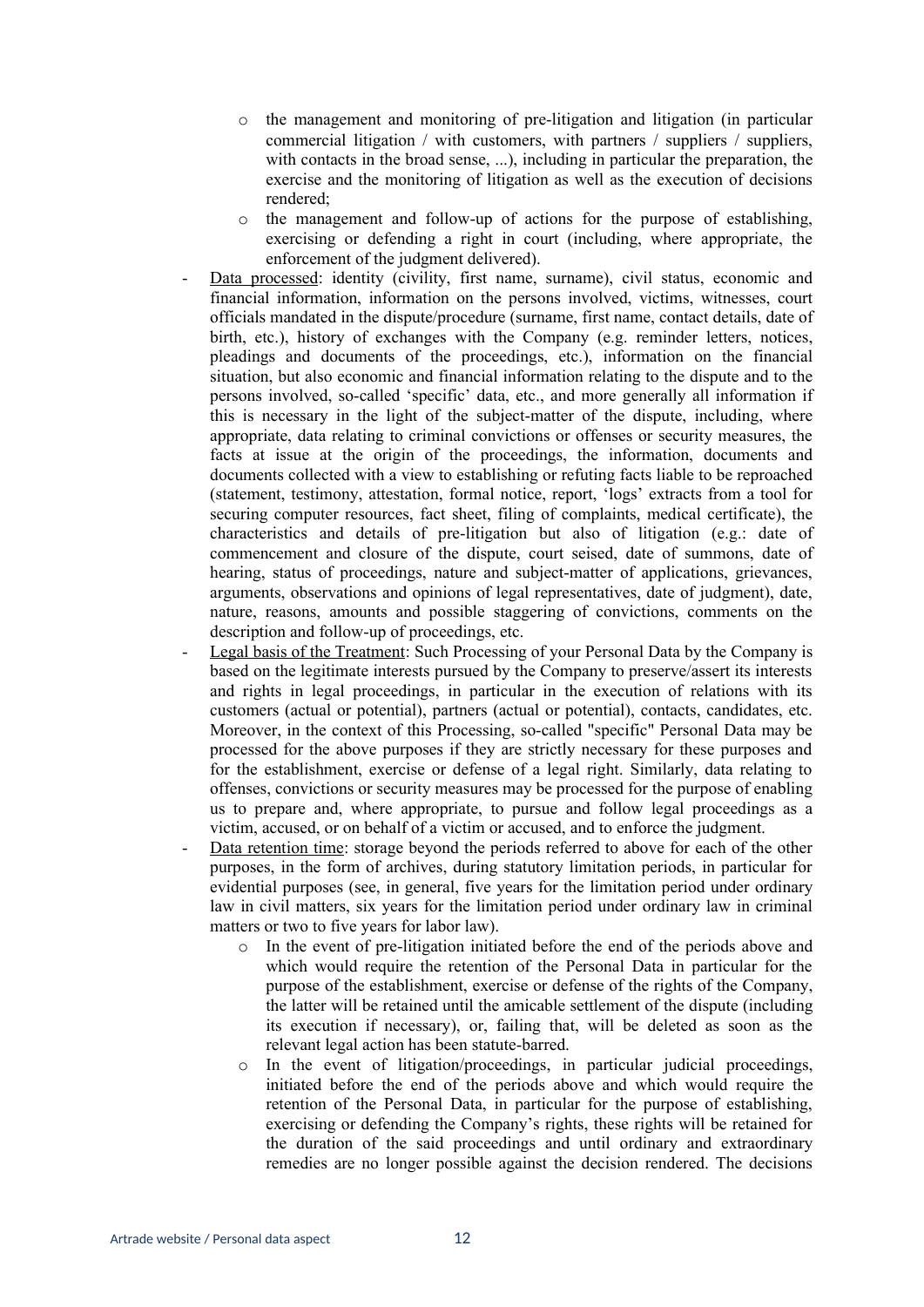- o the management and monitoring of pre-litigation and litigation (in particular commercial litigation / with customers, with partners / suppliers / suppliers, with contacts in the broad sense, ...), including in particular the preparation, the exercise and the monitoring of litigation as well as the execution of decisions rendered;
- o the management and follow-up of actions for the purpose of establishing, exercising or defending a right in court (including, where appropriate, the enforcement of the judgment delivered).
- Data processed: identity (civility, first name, surname), civil status, economic and financial information, information on the persons involved, victims, witnesses, court officials mandated in the dispute/procedure (surname, first name, contact details, date of birth, etc.), history of exchanges with the Company (e.g. reminder letters, notices, pleadings and documents of the proceedings, etc.), information on the financial situation, but also economic and financial information relating to the dispute and to the persons involved, so-called 'specific' data, etc., and more generally all information if this is necessary in the light of the subject-matter of the dispute, including, where appropriate, data relating to criminal convictions or offenses or security measures, the facts at issue at the origin of the proceedings, the information, documents and documents collected with a view to establishing or refuting facts liable to be reproached (statement, testimony, attestation, formal notice, report, 'logs' extracts from a tool for securing computer resources, fact sheet, filing of complaints, medical certificate), the characteristics and details of pre-litigation but also of litigation (e.g.: date of commencement and closure of the dispute, court seised, date of summons, date of hearing, status of proceedings, nature and subject-matter of applications, grievances, arguments, observations and opinions of legal representatives, date of judgment), date, nature, reasons, amounts and possible staggering of convictions, comments on the description and follow-up of proceedings, etc.
- Legal basis of the Treatment: Such Processing of your Personal Data by the Company is based on the legitimate interests pursued by the Company to preserve/assert its interests and rights in legal proceedings, in particular in the execution of relations with its customers (actual or potential), partners (actual or potential), contacts, candidates, etc. Moreover, in the context of this Processing, so-called "specific" Personal Data may be processed for the above purposes if they are strictly necessary for these purposes and for the establishment, exercise or defense of a legal right. Similarly, data relating to offenses, convictions or security measures may be processed for the purpose of enabling us to prepare and, where appropriate, to pursue and follow legal proceedings as a victim, accused, or on behalf of a victim or accused, and to enforce the judgment.
- Data retention time: storage beyond the periods referred to above for each of the other purposes, in the form of archives, during statutory limitation periods, in particular for evidential purposes (see, in general, five years for the limitation period under ordinary law in civil matters, six years for the limitation period under ordinary law in criminal matters or two to five years for labor law).
	- o In the event of pre-litigation initiated before the end of the periods above and which would require the retention of the Personal Data in particular for the purpose of the establishment, exercise or defense of the rights of the Company, the latter will be retained until the amicable settlement of the dispute (including its execution if necessary), or, failing that, will be deleted as soon as the relevant legal action has been statute-barred.
	- o In the event of litigation/proceedings, in particular judicial proceedings, initiated before the end of the periods above and which would require the retention of the Personal Data, in particular for the purpose of establishing, exercising or defending the Company's rights, these rights will be retained for the duration of the said proceedings and until ordinary and extraordinary remedies are no longer possible against the decision rendered. The decisions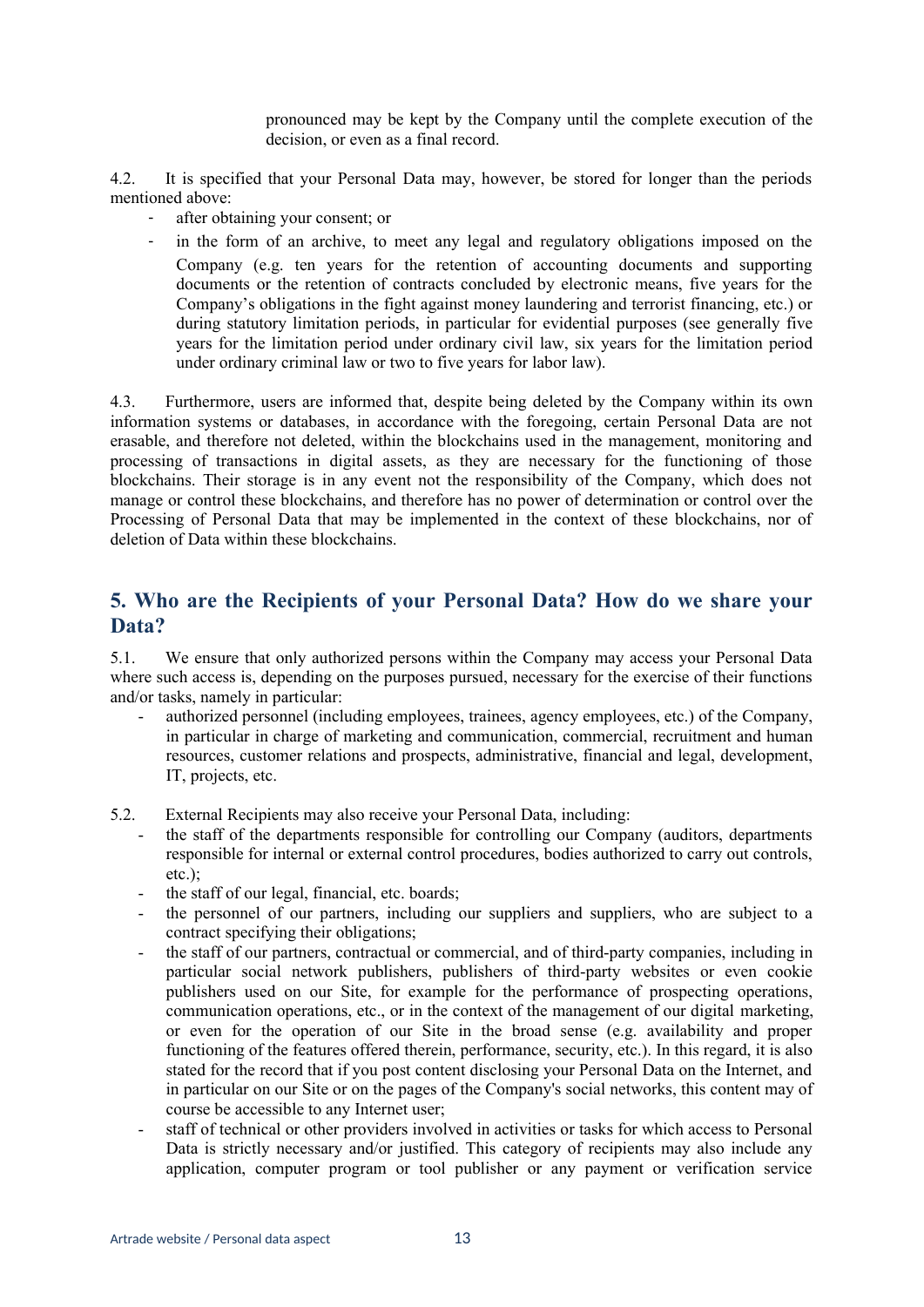pronounced may be kept by the Company until the complete execution of the decision, or even as a final record.

4.2. It is specified that your Personal Data may, however, be stored for longer than the periods mentioned above:

- after obtaining your consent; or
- in the form of an archive, to meet any legal and regulatory obligations imposed on the Company (e.g. ten years for the retention of accounting documents and supporting documents or the retention of contracts concluded by electronic means, five years for the Company's obligations in the fight against money laundering and terrorist financing, etc.) or during statutory limitation periods, in particular for evidential purposes (see generally five years for the limitation period under ordinary civil law, six years for the limitation period under ordinary criminal law or two to five years for labor law).

4.3. Furthermore, users are informed that, despite being deleted by the Company within its own information systems or databases, in accordance with the foregoing, certain Personal Data are not erasable, and therefore not deleted, within the blockchains used in the management, monitoring and processing of transactions in digital assets, as they are necessary for the functioning of those blockchains. Their storage is in any event not the responsibility of the Company, which does not manage or control these blockchains, and therefore has no power of determination or control over the Processing of Personal Data that may be implemented in the context of these blockchains, nor of deletion of Data within these blockchains.

## **5. Who are the Recipients of your Personal Data? How do we share your Data?**

5.1. We ensure that only authorized persons within the Company may access your Personal Data where such access is, depending on the purposes pursued, necessary for the exercise of their functions and/or tasks, namely in particular:

- authorized personnel (including employees, trainees, agency employees, etc.) of the Company, in particular in charge of marketing and communication, commercial, recruitment and human resources, customer relations and prospects, administrative, financial and legal, development, IT, projects, etc.
- 5.2. External Recipients may also receive your Personal Data, including:
	- the staff of the departments responsible for controlling our Company (auditors, departments responsible for internal or external control procedures, bodies authorized to carry out controls, etc.);
	- the staff of our legal, financial, etc. boards;
	- the personnel of our partners, including our suppliers and suppliers, who are subject to a contract specifying their obligations;
	- the staff of our partners, contractual or commercial, and of third-party companies, including in particular social network publishers, publishers of third-party websites or even cookie publishers used on our Site, for example for the performance of prospecting operations, communication operations, etc., or in the context of the management of our digital marketing, or even for the operation of our Site in the broad sense (e.g. availability and proper functioning of the features offered therein, performance, security, etc.). In this regard, it is also stated for the record that if you post content disclosing your Personal Data on the Internet, and in particular on our Site or on the pages of the Company's social networks, this content may of course be accessible to any Internet user;
	- staff of technical or other providers involved in activities or tasks for which access to Personal Data is strictly necessary and/or justified. This category of recipients may also include any application, computer program or tool publisher or any payment or verification service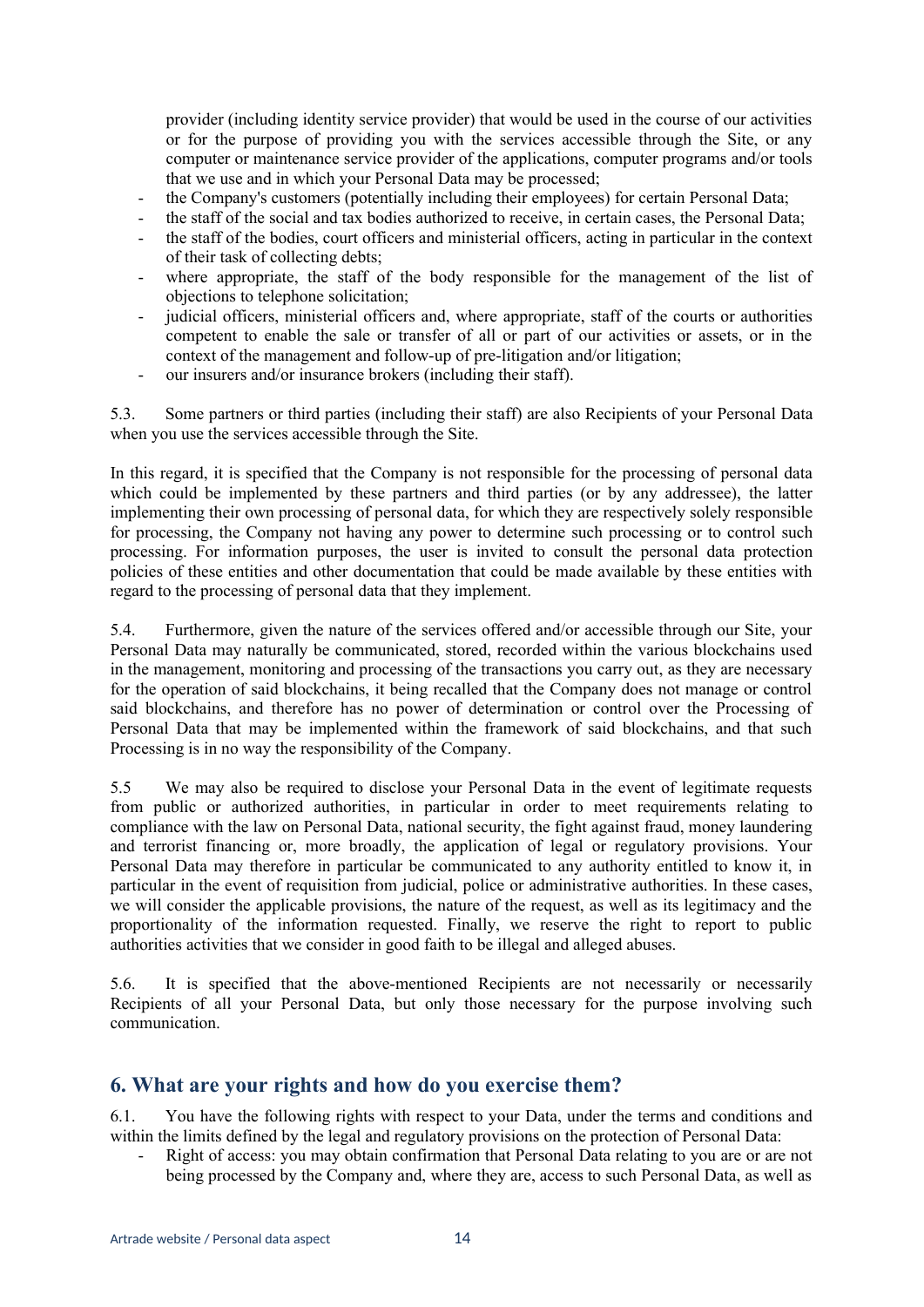provider (including identity service provider) that would be used in the course of our activities or for the purpose of providing you with the services accessible through the Site, or any computer or maintenance service provider of the applications, computer programs and/or tools that we use and in which your Personal Data may be processed;

- the Company's customers (potentially including their employees) for certain Personal Data;
- the staff of the social and tax bodies authorized to receive, in certain cases, the Personal Data;
- the staff of the bodies, court officers and ministerial officers, acting in particular in the context of their task of collecting debts;
- where appropriate, the staff of the body responsible for the management of the list of objections to telephone solicitation;
- judicial officers, ministerial officers and, where appropriate, staff of the courts or authorities competent to enable the sale or transfer of all or part of our activities or assets, or in the context of the management and follow-up of pre-litigation and/or litigation;
- our insurers and/or insurance brokers (including their staff).

5.3. Some partners or third parties (including their staff) are also Recipients of your Personal Data when you use the services accessible through the Site.

In this regard, it is specified that the Company is not responsible for the processing of personal data which could be implemented by these partners and third parties (or by any addressee), the latter implementing their own processing of personal data, for which they are respectively solely responsible for processing, the Company not having any power to determine such processing or to control such processing. For information purposes, the user is invited to consult the personal data protection policies of these entities and other documentation that could be made available by these entities with regard to the processing of personal data that they implement.

5.4. Furthermore, given the nature of the services offered and/or accessible through our Site, your Personal Data may naturally be communicated, stored, recorded within the various blockchains used in the management, monitoring and processing of the transactions you carry out, as they are necessary for the operation of said blockchains, it being recalled that the Company does not manage or control said blockchains, and therefore has no power of determination or control over the Processing of Personal Data that may be implemented within the framework of said blockchains, and that such Processing is in no way the responsibility of the Company.

5.5 We may also be required to disclose your Personal Data in the event of legitimate requests from public or authorized authorities, in particular in order to meet requirements relating to compliance with the law on Personal Data, national security, the fight against fraud, money laundering and terrorist financing or, more broadly, the application of legal or regulatory provisions. Your Personal Data may therefore in particular be communicated to any authority entitled to know it, in particular in the event of requisition from judicial, police or administrative authorities. In these cases, we will consider the applicable provisions, the nature of the request, as well as its legitimacy and the proportionality of the information requested. Finally, we reserve the right to report to public authorities activities that we consider in good faith to be illegal and alleged abuses.

5.6. It is specified that the above-mentioned Recipients are not necessarily or necessarily Recipients of all your Personal Data, but only those necessary for the purpose involving such communication.

### **6. What are your rights and how do you exercise them?**

6.1. You have the following rights with respect to your Data, under the terms and conditions and within the limits defined by the legal and regulatory provisions on the protection of Personal Data:

Right of access: you may obtain confirmation that Personal Data relating to you are or are not being processed by the Company and, where they are, access to such Personal Data, as well as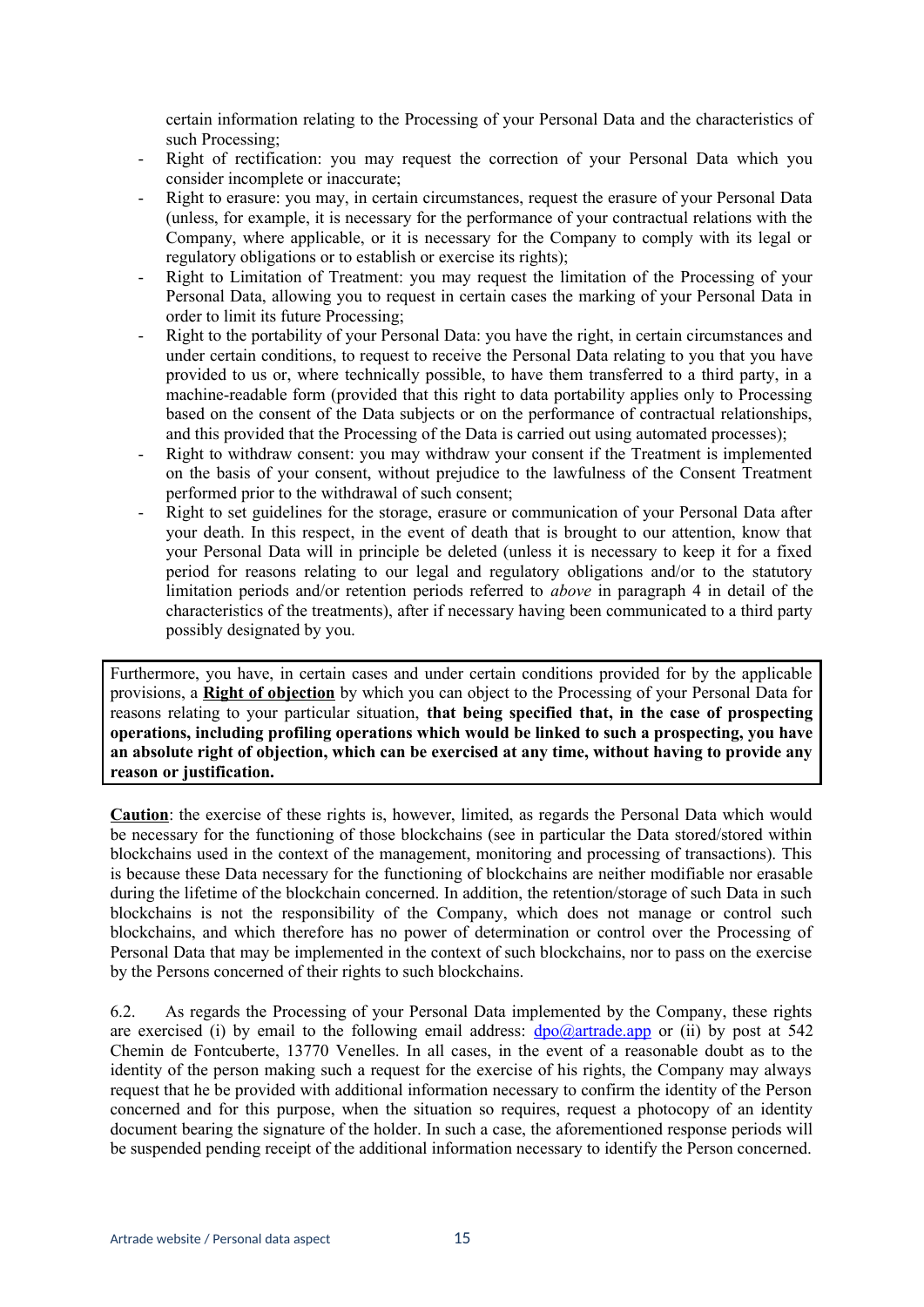certain information relating to the Processing of your Personal Data and the characteristics of such Processing;

- Right of rectification: you may request the correction of your Personal Data which you consider incomplete or inaccurate;
- Right to erasure: you may, in certain circumstances, request the erasure of your Personal Data (unless, for example, it is necessary for the performance of your contractual relations with the Company, where applicable, or it is necessary for the Company to comply with its legal or regulatory obligations or to establish or exercise its rights);
- Right to Limitation of Treatment: you may request the limitation of the Processing of your Personal Data, allowing you to request in certain cases the marking of your Personal Data in order to limit its future Processing;
- Right to the portability of your Personal Data: you have the right, in certain circumstances and under certain conditions, to request to receive the Personal Data relating to you that you have provided to us or, where technically possible, to have them transferred to a third party, in a machine-readable form (provided that this right to data portability applies only to Processing based on the consent of the Data subjects or on the performance of contractual relationships, and this provided that the Processing of the Data is carried out using automated processes);
- Right to withdraw consent: you may withdraw your consent if the Treatment is implemented on the basis of your consent, without prejudice to the lawfulness of the Consent Treatment performed prior to the withdrawal of such consent;
- Right to set guidelines for the storage, erasure or communication of your Personal Data after your death. In this respect, in the event of death that is brought to our attention, know that your Personal Data will in principle be deleted (unless it is necessary to keep it for a fixed period for reasons relating to our legal and regulatory obligations and/or to the statutory limitation periods and/or retention periods referred to *above* in paragraph 4 in detail of the characteristics of the treatments), after if necessary having been communicated to a third party possibly designated by you.

Furthermore, you have, in certain cases and under certain conditions provided for by the applicable provisions, a **Right of objection** by which you can object to the Processing of your Personal Data for reasons relating to your particular situation, **that being specified that, in the case of prospecting operations, including profiling operations which would be linked to such a prospecting, you have an absolute right of objection, which can be exercised at any time, without having to provide any reason or justification.** 

**Caution**: the exercise of these rights is, however, limited, as regards the Personal Data which would be necessary for the functioning of those blockchains (see in particular the Data stored/stored within blockchains used in the context of the management, monitoring and processing of transactions). This is because these Data necessary for the functioning of blockchains are neither modifiable nor erasable during the lifetime of the blockchain concerned. In addition, the retention/storage of such Data in such blockchains is not the responsibility of the Company, which does not manage or control such blockchains, and which therefore has no power of determination or control over the Processing of Personal Data that may be implemented in the context of such blockchains, nor to pass on the exercise by the Persons concerned of their rights to such blockchains.

6.2. As regards the Processing of your Personal Data implemented by the Company, these rights are exercised (i) by email to the following email address:  $\frac{dpo}{a}$  artrade.app or (ii) by post at 542 Chemin de Fontcuberte, 13770 Venelles. In all cases, in the event of a reasonable doubt as to the identity of the person making such a request for the exercise of his rights, the Company may always request that he be provided with additional information necessary to confirm the identity of the Person concerned and for this purpose, when the situation so requires, request a photocopy of an identity document bearing the signature of the holder. In such a case, the aforementioned response periods will be suspended pending receipt of the additional information necessary to identify the Person concerned.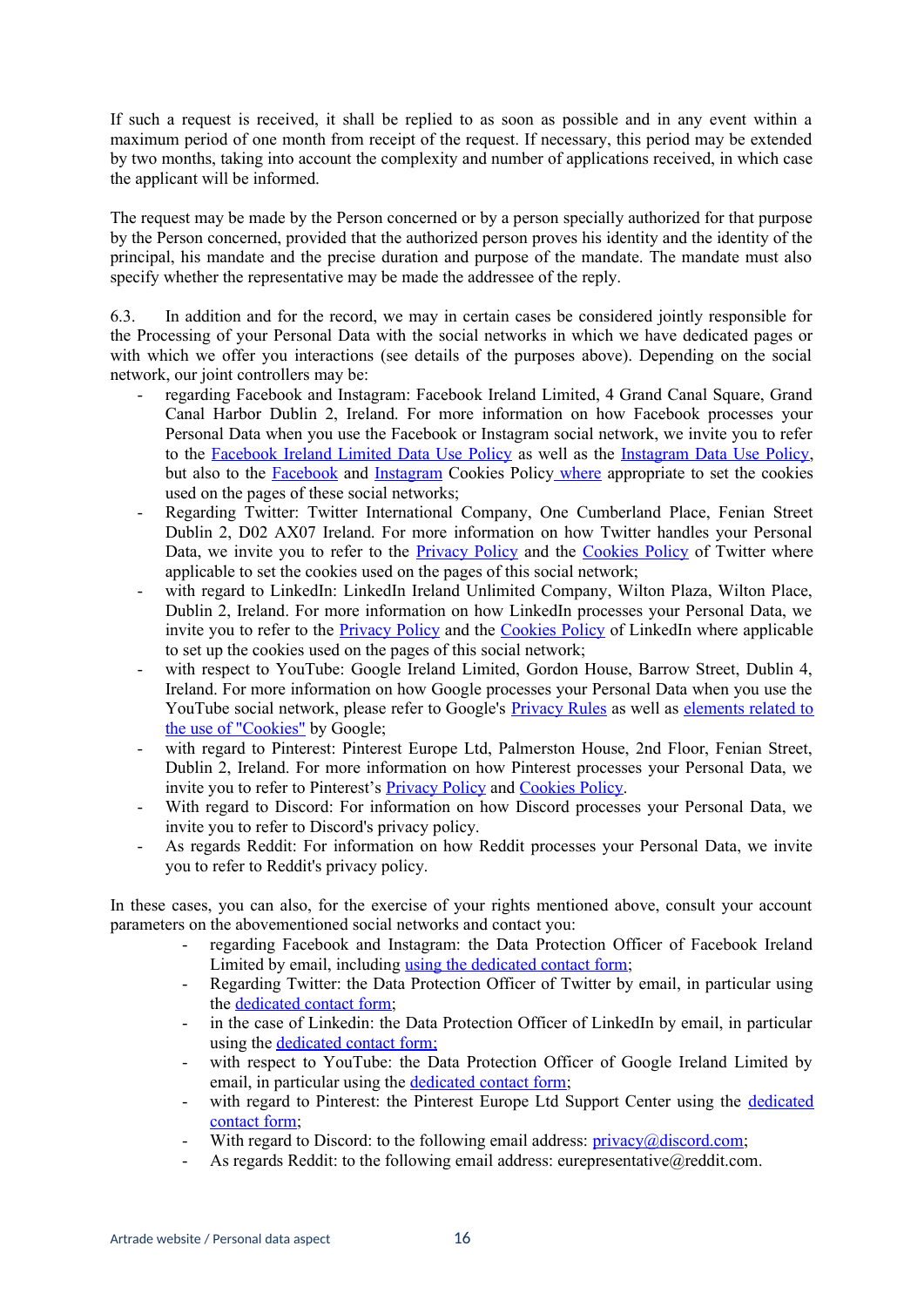If such a request is received, it shall be replied to as soon as possible and in any event within a maximum period of one month from receipt of the request. If necessary, this period may be extended by two months, taking into account the complexity and number of applications received, in which case the applicant will be informed.

The request may be made by the Person concerned or by a person specially authorized for that purpose by the Person concerned, provided that the authorized person proves his identity and the identity of the principal, his mandate and the precise duration and purpose of the mandate. The mandate must also specify whether the representative may be made the addressee of the reply.

6.3. In addition and for the record, we may in certain cases be considered jointly responsible for the Processing of your Personal Data with the social networks in which we have dedicated pages or with which we offer you interactions (see details of the purposes above). Depending on the social network, our joint controllers may be:

- regarding Facebook and Instagram: Facebook Ireland Limited, 4 Grand Canal Square, Grand Canal Harbor Dublin 2, Ireland. For more information on how Facebook processes your Personal Data when you use the Facebook or Instagram social network, we invite you to refer to the [Facebook Ireland Limited Data Use Policy](https://www.facebook.com/policy.php) as well as the [Instagram Data Use Policy,](https://help.instagram.com/519522125107875/?helpref=hc_fnav&bc%5B0%5D=Aide%20sur%20Instagram&bc%5B1%5D=Confidentialit%C3%A9%20et%20s%C3%A9curit%C3%A9) but also to the **Facebook** and **Instagram** Cookies Polic[y where](https://help.instagram.com/1896641480634370?ref=ig) appropriate to set the cookies used on the pages of these social networks;
- Regarding Twitter: Twitter International Company, One Cumberland Place, Fenian Street Dublin 2, D02 AX07 Ireland. For more information on how Twitter handles your Personal Data, we invite you to refer to the **[Privacy Policy](https://twitter.com/fr/privacy)** and the [Cookies Policy](https://help.twitter.com/fr/rules-and-policies/twitter-cookies) of Twitter where applicable to set the cookies used on the pages of this social network;
- with regard to LinkedIn: LinkedIn Ireland Unlimited Company, Wilton Plaza, Wilton Place, Dublin 2, Ireland. For more information on how LinkedIn processes your Personal Data, we invite you to refer to the [Privacy Policy](https://www.linkedin.com/legal/privacy-policy?trk=hb_ft_priv) and the [Cookies Policy](https://www.linkedin.com/legal/cookie-policy) of LinkedIn where applicable to set up the cookies used on the pages of this social network;
- with respect to YouTube: Google Ireland Limited, Gordon House, Barrow Street, Dublin 4, Ireland. For more information on how Google processes your Personal Data when you use the YouTube social network, please refer to Google's [Privacy Rules](https://policies.google.com/privacy?hl=frainsi) as well as [elements related to](https://policies.google.com/technologies/cookies?hl=fr) [the use of "Cookies"](https://policies.google.com/technologies/cookies?hl=fr) by Google;
- with regard to Pinterest: Pinterest Europe Ltd, Palmerston House, 2nd Floor, Fenian Street, Dublin 2, Ireland. For more information on how Pinterest processes your Personal Data, we invite you to refer to Pinterest's [Privacy Policy](https://policy.pinterest.com/fr/privacy-policy) and [Cookies Policy.](https://policy.pinterest.com/fr/cookies)
- With regard to Discord: For information on how Discord processes your Personal Data, we invite you to refer to Discord's privacy policy.
- As regards Reddit: For information on how Reddit processes your Personal Data, we invite you to refer to Reddit's privacy policy.

In these cases, you can also, for the exercise of your rights mentioned above, consult your account parameters on the abovementioned social networks and contact you:

- regarding Facebook and Instagram: the Data Protection Officer of Facebook Ireland Limited by email, including [using the dedicated contact form;](https://www.facebook.com/help/contact/540977946302970)
- Regarding Twitter: the Data Protection Officer of Twitter by email, in particular using the [dedicated contact form](https://twitter.ethicspointvp.com/custom/twitter/forms/data/form_data.asp);
- in the case of Linkedin: the Data Protection Officer of LinkedIn by email, in particular using the dedicated contact form;
- with respect to YouTube: the Data Protection Officer of Google Ireland Limited by email, in particular using the [dedicated contact form](https://support.google.com/policies/contact/general_privacy_form);
- with regard to Pinterest: the Pinterest Europe Ltd Support Center using the [dedicated](https://help.pinterest.com/fr/article/review-personal-data-options) [contact form](https://help.pinterest.com/fr/article/review-personal-data-options);
- With regard to Discord: to the following email address:  $\text{privacv@discount.com}$ ;
- As regards Reddit: to the following email address: eurepresentative@reddit.com.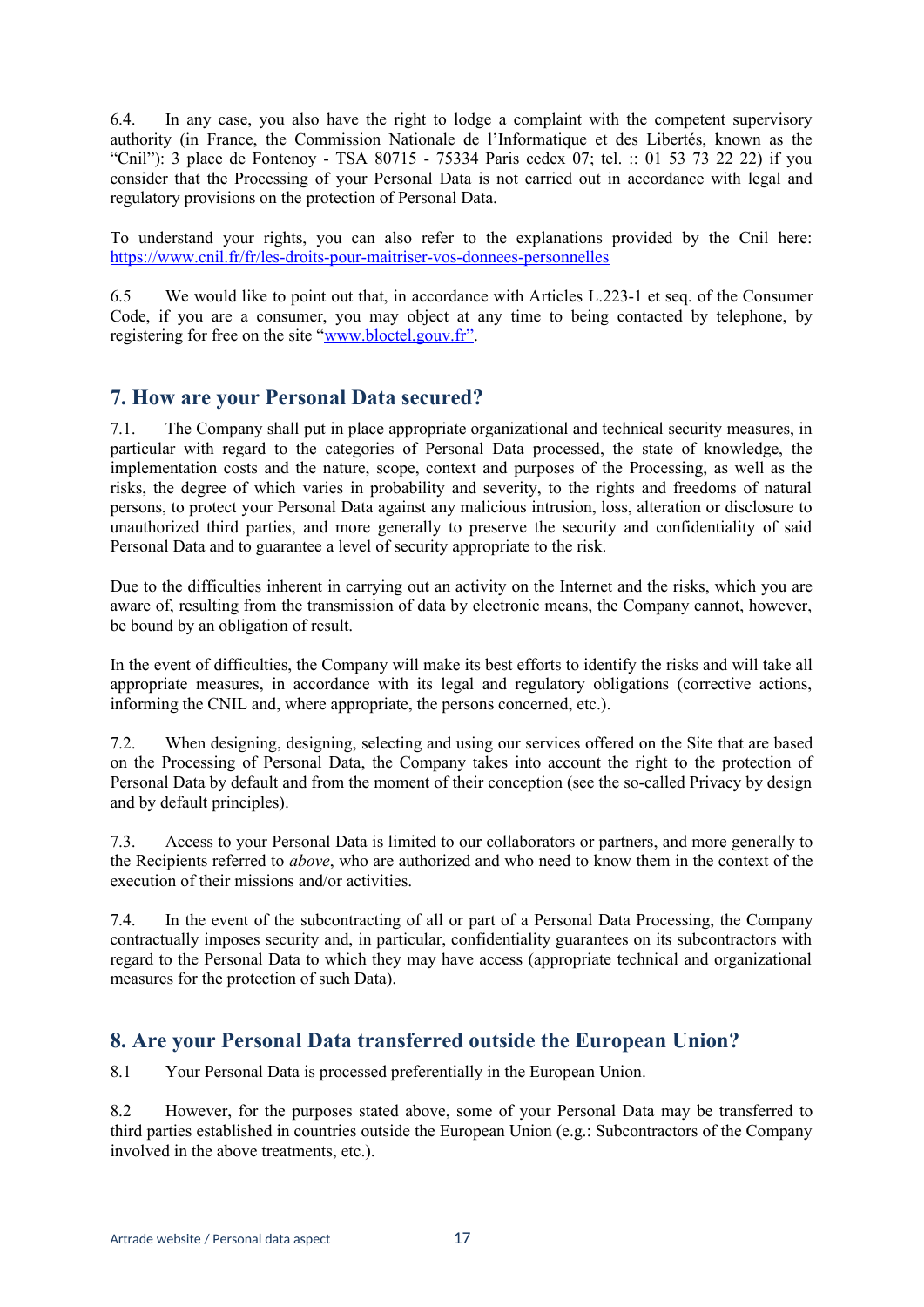6.4. In any case, you also have the right to lodge a complaint with the competent supervisory authority (in France, the Commission Nationale de l'Informatique et des Libertés, known as the "Cnil"): 3 place de Fontenoy - TSA 80715 - 75334 Paris cedex 07; tel. :: 01 53 73 22 22) if you consider that the Processing of your Personal Data is not carried out in accordance with legal and regulatory provisions on the protection of Personal Data.

To understand your rights, you can also refer to the explanations provided by the Cnil here: <https://www.cnil.fr/fr/les-droits-pour-maitriser-vos-donnees-personnelles>

6.5 We would like to point out that, in accordance with Articles L.223-1 et seq. of the Consumer Code, if you are a consumer, you may object at any time to being contacted by telephone, by registering for free on the site "www.bloctel.gouv.fr".

## **7. How are your Personal Data secured?**

7.1. The Company shall put in place appropriate organizational and technical security measures, in particular with regard to the categories of Personal Data processed, the state of knowledge, the implementation costs and the nature, scope, context and purposes of the Processing, as well as the risks, the degree of which varies in probability and severity, to the rights and freedoms of natural persons, to protect your Personal Data against any malicious intrusion, loss, alteration or disclosure to unauthorized third parties, and more generally to preserve the security and confidentiality of said Personal Data and to guarantee a level of security appropriate to the risk.

Due to the difficulties inherent in carrying out an activity on the Internet and the risks, which you are aware of, resulting from the transmission of data by electronic means, the Company cannot, however, be bound by an obligation of result.

In the event of difficulties, the Company will make its best efforts to identify the risks and will take all appropriate measures, in accordance with its legal and regulatory obligations (corrective actions, informing the CNIL and, where appropriate, the persons concerned, etc.).

7.2. When designing, designing, selecting and using our services offered on the Site that are based on the Processing of Personal Data, the Company takes into account the right to the protection of Personal Data by default and from the moment of their conception (see the so-called Privacy by design and by default principles).

7.3. Access to your Personal Data is limited to our collaborators or partners, and more generally to the Recipients referred to *above*, who are authorized and who need to know them in the context of the execution of their missions and/or activities.

7.4. In the event of the subcontracting of all or part of a Personal Data Processing, the Company contractually imposes security and, in particular, confidentiality guarantees on its subcontractors with regard to the Personal Data to which they may have access (appropriate technical and organizational measures for the protection of such Data).

# **8. Are your Personal Data transferred outside the European Union?**

8.1 Your Personal Data is processed preferentially in the European Union.

8.2 However, for the purposes stated above, some of your Personal Data may be transferred to third parties established in countries outside the European Union (e.g.: Subcontractors of the Company involved in the above treatments, etc.).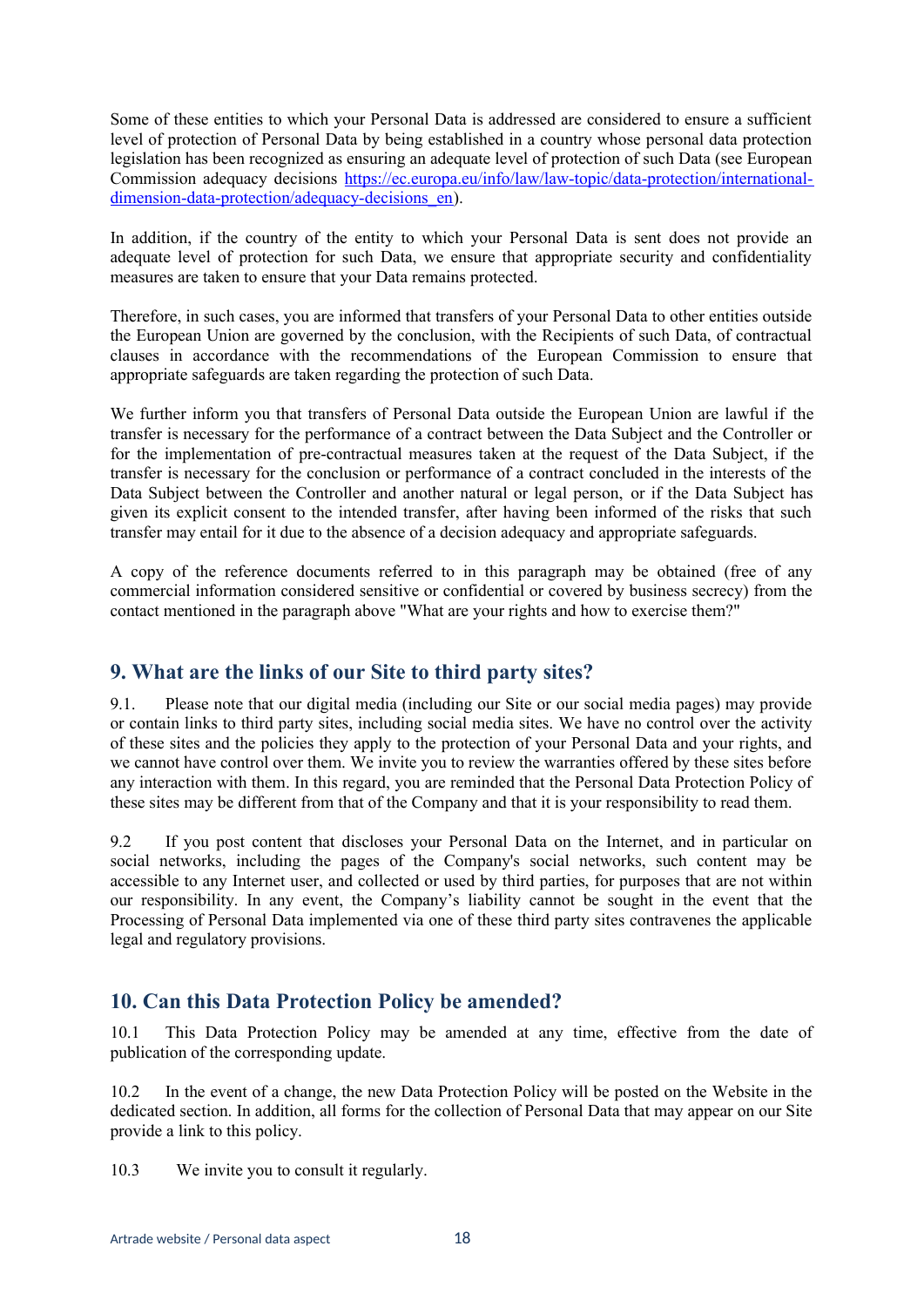Some of these entities to which your Personal Data is addressed are considered to ensure a sufficient level of protection of Personal Data by being established in a country whose personal data protection legislation has been recognized as ensuring an adequate level of protection of such Data (see European Commission adequacy decisions [https://ec.europa.eu/info/law/law-topic/data-protection/international](https://ec.europa.eu/info/law/law-topic/data-protection/international-dimension-data-protection/adequacy-decisions_en)dimension-data-protection/adequacy-decisions en).

In addition, if the country of the entity to which your Personal Data is sent does not provide an adequate level of protection for such Data, we ensure that appropriate security and confidentiality measures are taken to ensure that your Data remains protected.

Therefore, in such cases, you are informed that transfers of your Personal Data to other entities outside the European Union are governed by the conclusion, with the Recipients of such Data, of contractual clauses in accordance with the recommendations of the European Commission to ensure that appropriate safeguards are taken regarding the protection of such Data.

We further inform you that transfers of Personal Data outside the European Union are lawful if the transfer is necessary for the performance of a contract between the Data Subject and the Controller or for the implementation of pre-contractual measures taken at the request of the Data Subject, if the transfer is necessary for the conclusion or performance of a contract concluded in the interests of the Data Subject between the Controller and another natural or legal person, or if the Data Subject has given its explicit consent to the intended transfer, after having been informed of the risks that such transfer may entail for it due to the absence of a decision adequacy and appropriate safeguards.

A copy of the reference documents referred to in this paragraph may be obtained (free of any commercial information considered sensitive or confidential or covered by business secrecy) from the contact mentioned in the paragraph above "What are your rights and how to exercise them?"

## **9. What are the links of our Site to third party sites?**

9.1. Please note that our digital media (including our Site or our social media pages) may provide or contain links to third party sites, including social media sites. We have no control over the activity of these sites and the policies they apply to the protection of your Personal Data and your rights, and we cannot have control over them. We invite you to review the warranties offered by these sites before any interaction with them. In this regard, you are reminded that the Personal Data Protection Policy of these sites may be different from that of the Company and that it is your responsibility to read them.

9.2 If you post content that discloses your Personal Data on the Internet, and in particular on social networks, including the pages of the Company's social networks, such content may be accessible to any Internet user, and collected or used by third parties, for purposes that are not within our responsibility. In any event, the Company's liability cannot be sought in the event that the Processing of Personal Data implemented via one of these third party sites contravenes the applicable legal and regulatory provisions.

# **10. Can this Data Protection Policy be amended?**

10.1 This Data Protection Policy may be amended at any time, effective from the date of publication of the corresponding update.

10.2 In the event of a change, the new Data Protection Policy will be posted on the Website in the dedicated section. In addition, all forms for the collection of Personal Data that may appear on our Site provide a link to this policy.

10.3 We invite you to consult it regularly.